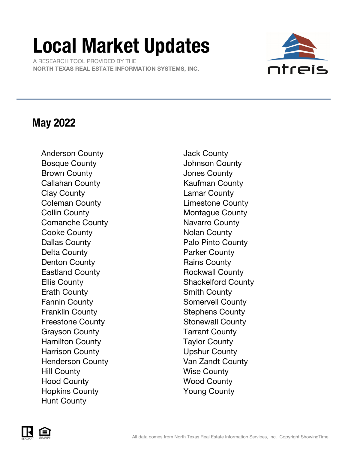# Local Market Updates

 A RESEARCH TOOL PROVIDED BY THE NORTH TEXAS REAL ESTATE INFORMATION SYSTEMS, INC.



### May 2022

Anderson County **Galactic County** Jack County Bosque County **County County** Johnson County Brown County **County County County Jones County** Callahan County **Kaufman County** Clay County Lamar County Coleman County **Limestone County** Collin County **Montague County** Comanche County **Navarro** County Cooke County **Notal** Nolan County Dallas County **Palo Pinto County** Delta County **Parker County** Denton County **Rains County** Rains County Eastland County **Rockwall County** Ellis County **Shackelford County** Erath County **Smith County** Smith County Fannin County **Somervell County** Franklin County **Stephens County** Freestone County **Stonewall County** Grayson County **Tarrant County** Hamilton County **Taylor County** Harrison County **Upshur County** Henderson County **Van Zandt County** Hill County Wise County Hood County **Wood County** Hopkins County Young County Hunt County

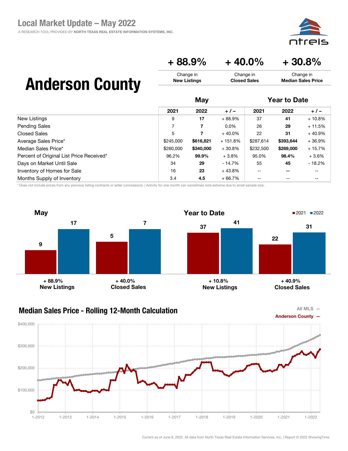### $+88.9\% + 40.0\% + 30.8\%$

Change in Closed Sales

## Anderson County

|                                          | May       |           |           | <b>Year to Date</b> |                          |          |
|------------------------------------------|-----------|-----------|-----------|---------------------|--------------------------|----------|
|                                          | 2021      | 2022      | $+/-$     | 2021                | 2022                     | $+/-$    |
| New Listings                             | 9         | 17        | $+88.9%$  | 37                  | 41                       | $+10.8%$ |
| <b>Pending Sales</b>                     | 7         | 7         | $0.0\%$   | 26                  | 29                       | $+11.5%$ |
| Closed Sales                             | 5         | 7         | $+40.0\%$ | 22                  | 31                       | $+40.9%$ |
| Average Sales Price*                     | \$245,000 | \$616,821 | $+151.8%$ | \$287,614           | \$393,644                | $+36.9%$ |
| Median Sales Price*                      | \$260,000 | \$340,000 | $+30.8%$  | \$232,500           | \$269,000                | $+15.7%$ |
| Percent of Original List Price Received* | 96.2%     | 99.9%     | $+3.8%$   | 95.0%               | 98.4%                    | $+3.6%$  |
| Days on Market Until Sale                | 34        | 29        | - 14.7%   | 55                  | 45                       | $-18.2%$ |
| Inventory of Homes for Sale              | 16        | 23        | $+43.8%$  | $- -$               | $\overline{\phantom{m}}$ | --       |
| Months Supply of Inventory               | 3.4       | 4.5       | $+66.7%$  | --                  | $- -$                    | --       |

Change in New Listings

\* Does not include prices from any previous listing contracts or seller concessions. | Activity for one month can sometimes look extreme due to small sample size.



#### Median Sales Price - Rolling 12-Month Calculation



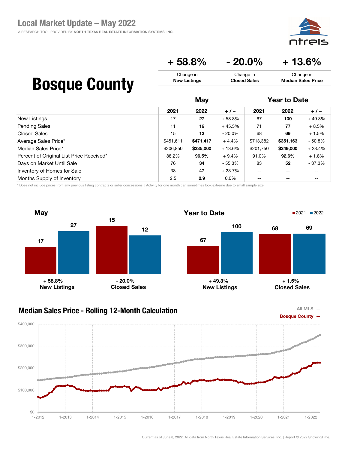⊇i⊂

Median Sales Price

#### $+ 58.8\%$   $- 20.0\%$   $+ 13.6\%$ Change in Change in Change in

Closed Sales

## Bosque County

|                                          | May       |           |           | <b>Year to Date</b> |           |          |
|------------------------------------------|-----------|-----------|-----------|---------------------|-----------|----------|
|                                          | 2021      | 2022      | $+/-$     | 2021                | 2022      | $+/-$    |
| New Listings                             | 17        | 27        | $+58.8%$  | 67                  | 100       | $+49.3%$ |
| <b>Pending Sales</b>                     | 11        | 16        | $+45.5%$  | 71                  | 77        | $+8.5%$  |
| Closed Sales                             | 15        | 12        | $-20.0\%$ | 68                  | 69        | $+1.5%$  |
| Average Sales Price*                     | \$451,611 | \$471,417 | $+4.4%$   | \$713,382           | \$351,163 | $-50.8%$ |
| Median Sales Price*                      | \$206.850 | \$235,000 | $+13.6%$  | \$201,750           | \$249,000 | $+23.4%$ |
| Percent of Original List Price Received* | 88.2%     | 96.5%     | $+9.4\%$  | 91.0%               | 92.6%     | $+1.8%$  |
| Days on Market Until Sale                | 76        | 34        | $-55.3%$  | 83                  | 52        | - 37.3%  |
| Inventory of Homes for Sale              | 38        | 47        | $+23.7%$  | $-$                 | $- -$     |          |
| Months Supply of Inventory               | 2.5       | 2.9       | $0.0\%$   | --                  | $- -$     | --       |

New Listings

\* Does not include prices from any previous listing contracts or seller concessions. | Activity for one month can sometimes look extreme due to small sample size.



### Median Sales Price - Rolling 12-Month Calculation



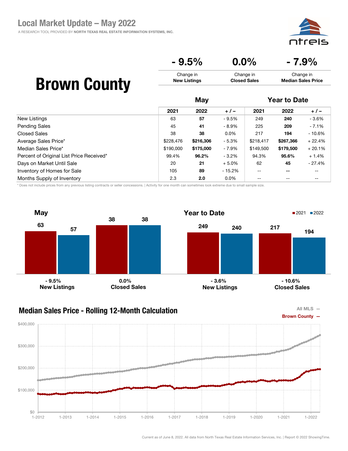⊇i⊂

#### $-9.5\%$  0.0%  $-7.9\%$ Change in New Listings Change in Closed Sales Change in Median Sales Price

## Brown County

|                                          | May       |           |          | <b>Year to Date</b>      |           |          |
|------------------------------------------|-----------|-----------|----------|--------------------------|-----------|----------|
|                                          | 2021      | 2022      | $+/-$    | 2021                     | 2022      | $+/-$    |
| New Listings                             | 63        | 57        | $-9.5\%$ | 249                      | 240       | - 3.6%   |
| <b>Pending Sales</b>                     | 45        | 41        | $-8.9\%$ | 225                      | 209       | $-7.1\%$ |
| Closed Sales                             | 38        | 38        | $0.0\%$  | 217                      | 194       | $-10.6%$ |
| Average Sales Price*                     | \$228,476 | \$216,306 | $-5.3\%$ | \$218,417                | \$267,366 | $+22.4%$ |
| Median Sales Price*                      | \$190,000 | \$175,000 | - 7.9%   | \$149,500                | \$179,500 | $+20.1%$ |
| Percent of Original List Price Received* | 99.4%     | 96.2%     | $-3.2\%$ | 94.3%                    | 95.6%     | $+1.4%$  |
| Days on Market Until Sale                | 20        | 21        | $+5.0%$  | 62                       | 45        | - 27.4%  |
| Inventory of Homes for Sale              | 105       | 89        | - 15.2%  | $\overline{\phantom{m}}$ | --        | --       |
| Months Supply of Inventory               | 2.3       | 2.0       | $0.0\%$  | $- -$                    | --        | --       |

\* Does not include prices from any previous listing contracts or seller concessions. | Activity for one month can sometimes look extreme due to small sample size.



### Median Sales Price - Rolling 12-Month Calculation



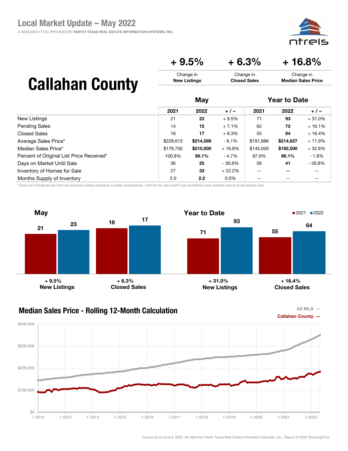A RESEARCH TOOL PROVIDED BY NORTH TEXAS REAL ESTATE INFORMATION SYSTEMS, INC.



Change in Median Sales Price

 $+9.5\%$   $+6.3\%$   $+16.8\%$ 

Change in Closed Sales

## Callahan County

|                                          | May       |           |           | <b>Year to Date</b> |           |          |
|------------------------------------------|-----------|-----------|-----------|---------------------|-----------|----------|
|                                          | 2021      | 2022      | $+/-$     | 2021                | 2022      | $+/-$    |
| New Listings                             | 21        | 23        | $+9.5%$   | 71                  | 93        | $+31.0%$ |
| <b>Pending Sales</b>                     | 14        | 15        | $+7.1%$   | 62                  | 72        | $+16.1%$ |
| <b>Closed Sales</b>                      | 16        | 17        | $+6.3%$   | 55                  | 64        | $+16.4%$ |
| Average Sales Price*                     | \$228,613 | \$214,589 | $-6.1%$   | \$191,886           | \$214,627 | $+11.9%$ |
| Median Sales Price*                      | \$179,750 | \$210,000 | $+16.8%$  | \$145,000           | \$192,500 | $+32.8%$ |
| Percent of Original List Price Received* | 100.8%    | 96.1%     | - 4.7%    | 97.9%               | 96.1%     | $-1.8%$  |
| Days on Market Until Sale                | 36        | 25        | $-30.6\%$ | 56                  | 41        | $-26.8%$ |
| Inventory of Homes for Sale              | 27        | 33        | $+22.2%$  | $- -$               | $- -$     | --       |
| Months Supply of Inventory               | 2.0       | 2.2       | $0.0\%$   | $-$                 | $- -$     | --       |

Change in New Listings

\* Does not include prices from any previous listing contracts or seller concessions. | Activity for one month can sometimes look extreme due to small sample size.





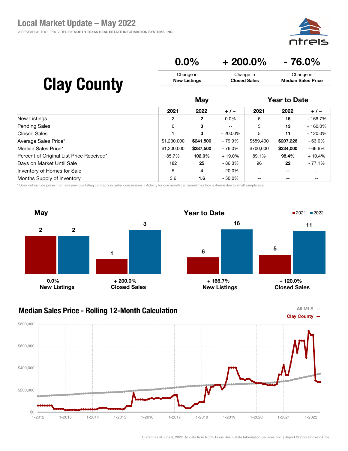A RESEARCH TOOL PROVIDED BY NORTH TEXAS REAL ESTATE INFORMATION SYSTEMS, INC.



### $0.0\%$  + 200.0% - 76.0%

| <b>Clay County</b> | Change in           | Change in           | Change in                 |
|--------------------|---------------------|---------------------|---------------------------|
|                    | <b>New Listings</b> | <b>Closed Sales</b> | <b>Median Sales Price</b> |
|                    | Mav                 |                     | <b>Year to Date</b>       |

|                                          | 2021           | 2022         | $+/-$      | 2021      | 2022      | $+/-$      |  |
|------------------------------------------|----------------|--------------|------------|-----------|-----------|------------|--|
| New Listings                             | $\overline{2}$ | $\mathbf{2}$ | $0.0\%$    | 6         | 16        | + 166.7%   |  |
| <b>Pending Sales</b>                     | 0              | 3            | $- -$      | 5         | 13        | $+160.0\%$ |  |
| <b>Closed Sales</b>                      |                | 3            | $+200.0\%$ | 5         | 11        | + 120.0%   |  |
| Average Sales Price*                     | \$1,200,000    | \$241,500    | - 79.9%    | \$559,400 | \$207,226 | $-63.0%$   |  |
| Median Sales Price*                      | \$1,200,000    | \$287,500    | - 76.0%    | \$700,000 | \$234,000 | $-66.6%$   |  |
| Percent of Original List Price Received* | 85.7%          | 102.0%       | $+19.0\%$  | 89.1%     | 98.4%     | + 10.4%    |  |
| Days on Market Until Sale                | 182            | 25           | $-86.3%$   | 96        | 22        | $-77.1%$   |  |
| Inventory of Homes for Sale              | 5              | 4            | $-20.0\%$  | --        |           | --         |  |
| Months Supply of Inventory               | 3.6            | 1.6          | $-50.0%$   |           |           |            |  |

\* Does not include prices from any previous listing contracts or seller concessions. | Activity for one month can sometimes look extreme due to small sample size.



#### Median Sales Price - Rolling 12-Month Calculation



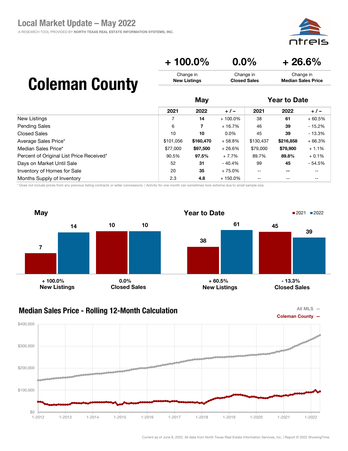ajc

#### $+ 100.0\% \qquad 0.0\% \qquad + 26.6\%$ Change in New Listings Change in Closed Sales Change in Median Sales Price

# Coleman County

|                                          | May       |           |            | <b>Year to Date</b>      |                          |          |
|------------------------------------------|-----------|-----------|------------|--------------------------|--------------------------|----------|
|                                          | 2021      | 2022      | $+/-$      | 2021                     | 2022                     | $+/-$    |
| New Listings                             |           | 14        | $+100.0\%$ | 38                       | 61                       | $+60.5%$ |
| <b>Pending Sales</b>                     | 6         | 7         | $+16.7%$   | 46                       | 39                       | $-15.2%$ |
| <b>Closed Sales</b>                      | 10        | 10        | $0.0\%$    | 45                       | 39                       | $-13.3%$ |
| Average Sales Price*                     | \$101,056 | \$160,470 | $+58.8%$   | \$130,437                | \$216,858                | $+66.3%$ |
| Median Sales Price*                      | \$77,000  | \$97,500  | $+26.6%$   | \$79,000                 | \$79,900                 | $+1.1%$  |
| Percent of Original List Price Received* | 90.5%     | 97.5%     | $+7.7%$    | 89.7%                    | 89.8%                    | $+0.1%$  |
| Days on Market Until Sale                | 52        | 31        | - 40.4%    | 99                       | 45                       | $-54.5%$ |
| Inventory of Homes for Sale              | 20        | 35        | $+75.0%$   | $\overline{\phantom{m}}$ | $\overline{\phantom{m}}$ | --       |
| Months Supply of Inventory               | 2.3       | 4.8       | $+150.0\%$ | $\qquad \qquad -$        | $- -$                    | --       |

\* Does not include prices from any previous listing contracts or seller concessions. | Activity for one month can sometimes look extreme due to small sample size.





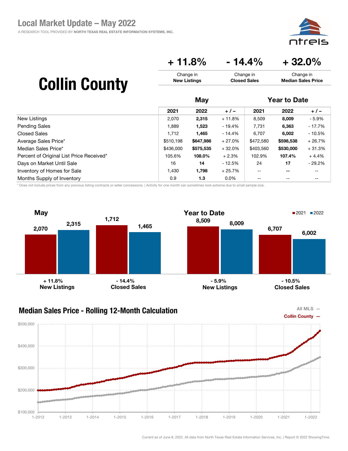

### $+ 11.8\% - 14.4\% + 32.0\%$

Change in Closed Sales

# Collin County

|                                          | May       |           |          | <b>Year to Date</b>      |                          |          |
|------------------------------------------|-----------|-----------|----------|--------------------------|--------------------------|----------|
|                                          | 2021      | 2022      | $+/-$    | 2021                     | 2022                     | $+/-$    |
| <b>New Listings</b>                      | 2,070     | 2,315     | $+11.8%$ | 8,509                    | 8,009                    | $-5.9%$  |
| <b>Pending Sales</b>                     | 1,889     | 1,523     | $-19.4%$ | 7,731                    | 6,363                    | $-17.7%$ |
| Closed Sales                             | 1.712     | 1,465     | $-14.4%$ | 6.707                    | 6,002                    | $-10.5%$ |
| Average Sales Price*                     | \$510,198 | \$647,986 | $+27.0%$ | \$472,580                | \$598,538                | $+26.7%$ |
| Median Sales Price*                      | \$436,000 | \$575,535 | $+32.0%$ | \$403,560                | \$530,000                | $+31.3%$ |
| Percent of Original List Price Received* | 105.6%    | 108.0%    | $+2.3%$  | 102.9%                   | 107.4%                   | $+4.4%$  |
| Days on Market Until Sale                | 16        | 14        | - 12.5%  | 24                       | 17                       | $-29.2%$ |
| Inventory of Homes for Sale              | 1,430     | 1,798     | $+25.7%$ | $\overline{\phantom{a}}$ | $\overline{\phantom{m}}$ | --       |
| Months Supply of Inventory               | 0.9       | 1.3       | $0.0\%$  | $-$                      | $- -$                    | --       |

Change in New Listings

\* Does not include prices from any previous listing contracts or seller concessions. | Activity for one month can sometimes look extreme due to small sample size.





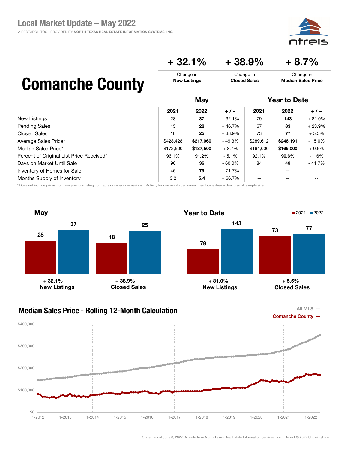

## $+32.1\%$   $+38.9\%$   $+8.7\%$

Change in Closed Sales

## Comanche County

|                                          | May       |           |           | <b>Year to Date</b>      |           |          |
|------------------------------------------|-----------|-----------|-----------|--------------------------|-----------|----------|
|                                          | 2021      | 2022      | $+/-$     | 2021                     | 2022      | $+/-$    |
| New Listings                             | 28        | 37        | $+32.1%$  | 79                       | 143       | $+81.0%$ |
| <b>Pending Sales</b>                     | 15        | 22        | $+46.7%$  | 67                       | 83        | $+23.9%$ |
| <b>Closed Sales</b>                      | 18        | 25        | $+38.9%$  | 73                       | 77        | $+5.5%$  |
| Average Sales Price*                     | \$428,428 | \$217,060 | $-49.3%$  | \$289,612                | \$246,191 | $-15.0%$ |
| Median Sales Price*                      | \$172,500 | \$187,500 | $+8.7%$   | \$164,000                | \$165,000 | $+0.6%$  |
| Percent of Original List Price Received* | 96.1%     | 91.2%     | $-5.1\%$  | 92.1%                    | 90.6%     | $-1.6%$  |
| Days on Market Until Sale                | 90        | 36        | $-60.0\%$ | 84                       | 49        | $-41.7%$ |
| Inventory of Homes for Sale              | 46        | 79        | $+71.7%$  | $\overline{\phantom{m}}$ | $- -$     | --       |
| Months Supply of Inventory               | 3.2       | 5.4       | $+66.7%$  | $-$                      | $- -$     | --       |

Change in New Listings

\* Does not include prices from any previous listing contracts or seller concessions. | Activity for one month can sometimes look extreme due to small sample size.





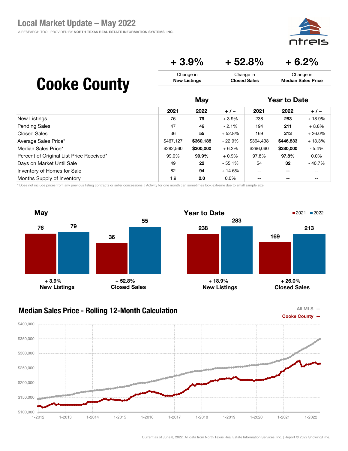

Median Sales Price

#### $+3.9\%$   $+52.8\%$   $+6.2\%$ Change in Change in Change in

Closed Sales

## Cooke County

|                                          | May       |           |           | <b>Year to Date</b>      |           |          |
|------------------------------------------|-----------|-----------|-----------|--------------------------|-----------|----------|
|                                          | 2021      | 2022      | $+/-$     | 2021                     | 2022      | $+/-$    |
| New Listings                             | 76        | 79        | $+3.9%$   | 238                      | 283       | $+18.9%$ |
| <b>Pending Sales</b>                     | 47        | 46        | $-2.1%$   | 194                      | 211       | $+8.8%$  |
| <b>Closed Sales</b>                      | 36        | 55        | $+52.8%$  | 169                      | 213       | $+26.0%$ |
| Average Sales Price*                     | \$467,127 | \$360,188 | $-22.9\%$ | \$394,438                | \$446,833 | $+13.3%$ |
| Median Sales Price*                      | \$282,560 | \$300,000 | $+6.2%$   | \$296,060                | \$280,000 | $-5.4%$  |
| Percent of Original List Price Received* | 99.0%     | 99.9%     | $+0.9%$   | 97.8%                    | 97.8%     | $0.0\%$  |
| Days on Market Until Sale                | 49        | 22        | $-55.1%$  | 54                       | 32        | $-40.7%$ |
| Inventory of Homes for Sale              | 82        | 94        | $+14.6%$  | $\overline{\phantom{m}}$ | $- -$     | --       |
| Months Supply of Inventory               | 1.9       | 2.0       | $0.0\%$   | $-$                      | $- -$     | --       |

New Listings

\* Does not include prices from any previous listing contracts or seller concessions. | Activity for one month can sometimes look extreme due to small sample size.



### Median Sales Price - Rolling 12-Month Calculation



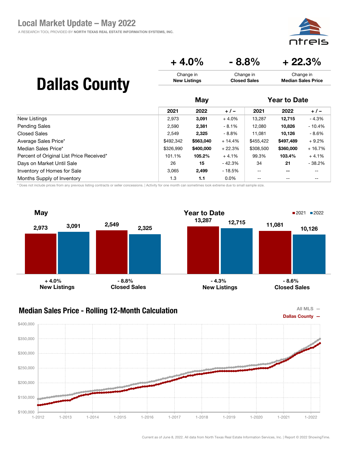eis

Change in Median Sales Price

### $+4.0\%$   $-8.8\%$   $+22.3\%$

Change in Closed Sales

|  | <b>Dallas County</b> |
|--|----------------------|
|--|----------------------|

|                                          | May       |           |          | <b>Year to Date</b>                   |                          |          |
|------------------------------------------|-----------|-----------|----------|---------------------------------------|--------------------------|----------|
|                                          | 2021      | 2022      | $+/-$    | 2021                                  | 2022                     | $+/-$    |
| New Listings                             | 2,973     | 3,091     | $+4.0%$  | 13,287                                | 12.715                   | $-4.3%$  |
| <b>Pending Sales</b>                     | 2,590     | 2,381     | - 8.1%   | 12,080                                | 10,826                   | $-10.4%$ |
| <b>Closed Sales</b>                      | 2,549     | 2,325     | - 8.8%   | 11,081                                | 10,126                   | $-8.6%$  |
| Average Sales Price*                     | \$492.342 | \$563,040 | $+14.4%$ | \$455,422                             | \$497.489                | $+9.2%$  |
| Median Sales Price*                      | \$326,990 | \$400,000 | $+22.3%$ | \$308,500                             | \$360,000                | $+16.7%$ |
| Percent of Original List Price Received* | 101.1%    | 105.2%    | $+4.1%$  | 99.3%                                 | 103.4%                   | $+4.1%$  |
| Days on Market Until Sale                | 26        | 15        | - 42.3%  | 34                                    | 21                       | $-38.2%$ |
| Inventory of Homes for Sale              | 3,065     | 2,499     | - 18.5%  | $\hspace{0.05cm}$ – $\hspace{0.05cm}$ | $\overline{\phantom{m}}$ | --       |
| Months Supply of Inventory               | 1.3       | 1.1       | $0.0\%$  | $- -$                                 | $- -$                    | --       |

Change in New Listings

\* Does not include prices from any previous listing contracts or seller concessions. | Activity for one month can sometimes look extreme due to small sample size.





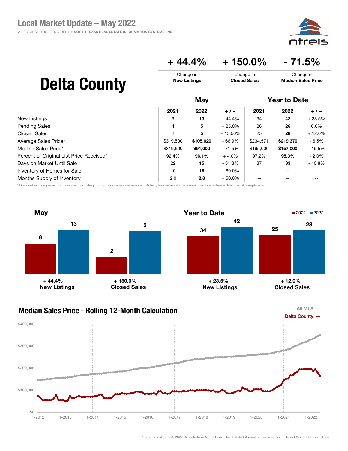

### $+44.4\% + 150.0\% - 71.5\%$

Change in Closed Sales

# Delta County

|                                          | May       |           |            | <b>Year to Date</b> |                          |          |
|------------------------------------------|-----------|-----------|------------|---------------------|--------------------------|----------|
|                                          | 2021      | 2022      | $+/-$      | 2021                | 2022                     | $+/-$    |
| New Listings                             | 9         | 13        | $+44.4%$   | 34                  | 42                       | $+23.5%$ |
| <b>Pending Sales</b>                     | 4         | 5         | $+25.0%$   | 26                  | 26                       | $0.0\%$  |
| <b>Closed Sales</b>                      | 2         | 5         | $+150.0\%$ | 25                  | 28                       | $+12.0%$ |
| Average Sales Price*                     | \$319,500 | \$105,620 | $-66.9%$   | \$234,571           | \$219,370                | - 6.5%   |
| Median Sales Price*                      | \$319,500 | \$91,000  | - 71.5%    | \$195,000           | \$157,000                | $-19.5%$ |
| Percent of Original List Price Received* | 92.4%     | 96.1%     | $+4.0%$    | 97.2%               | 95.3%                    | $-2.0\%$ |
| Days on Market Until Sale                | 22        | 15        | - 31.8%    | 37                  | 33                       | $-10.8%$ |
| Inventory of Homes for Sale              | 10        | 16        | $+60.0\%$  | $-$                 | $\overline{\phantom{m}}$ | --       |
| Months Supply of Inventory               | 2.0       | 2.8       | $+50.0%$   | $- -$               | $- -$                    | --       |

Change in New Listings

\* Does not include prices from any previous listing contracts or seller concessions. | Activity for one month can sometimes look extreme due to small sample size.





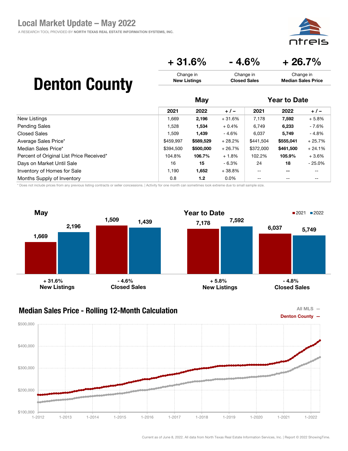eis ור

### $+31.6\%$   $-4.6\%$   $+26.7\%$

| <b>Denton County</b> | Change in           | Change in           | Change in                 |
|----------------------|---------------------|---------------------|---------------------------|
|                      | <b>New Listings</b> | <b>Closed Sales</b> | <b>Median Sales Price</b> |
|                      | Mav                 |                     | <b>Year to Date</b>       |

|                                          |           | ww        |          |           | TVUI LV PULV |           |  |
|------------------------------------------|-----------|-----------|----------|-----------|--------------|-----------|--|
|                                          | 2021      | 2022      | $+/-$    | 2021      | 2022         | $+/-$     |  |
| New Listings                             | 1,669     | 2,196     | $+31.6%$ | 7,178     | 7,592        | $+5.8%$   |  |
| Pending Sales                            | 1,528     | 1,534     | $+0.4%$  | 6,749     | 6,233        | - 7.6%    |  |
| <b>Closed Sales</b>                      | 1.509     | 1.439     | $-4.6%$  | 6.037     | 5.749        | $-4.8%$   |  |
| Average Sales Price*                     | \$459,997 | \$589,529 | $+28.2%$ | \$441,504 | \$555,041    | $+25.7%$  |  |
| Median Sales Price*                      | \$394,500 | \$500,000 | $+26.7%$ | \$372,000 | \$461,500    | $+24.1%$  |  |
| Percent of Original List Price Received* | 104.8%    | 106.7%    | $+1.8%$  | 102.2%    | 105.9%       | $+3.6%$   |  |
| Days on Market Until Sale                | 16        | 15        | $-6.3%$  | 24        | 18           | $-25.0\%$ |  |
| Inventory of Homes for Sale              | 1,190     | 1,652     | $+38.8%$ | $- -$     | --           | --        |  |
| Months Supply of Inventory               | 0.8       | 1.2       | $0.0\%$  | --        |              | $- -$     |  |

\* Does not include prices from any previous listing contracts or seller concessions. | Activity for one month can sometimes look extreme due to small sample size.



#### Median Sales Price - Rolling 12-Month Calculation



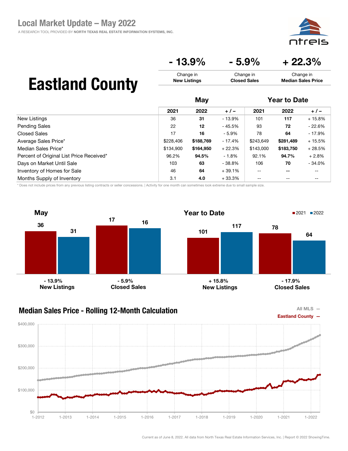

 $-13.9\% - 5.9\% + 22.3\%$ 

Change in Closed Sales

## Eastland County

|                                          | May       |           |          | <b>Year to Date</b> |           |          |
|------------------------------------------|-----------|-----------|----------|---------------------|-----------|----------|
|                                          | 2021      | 2022      | $+/-$    | 2021                | 2022      | $+/-$    |
| New Listings                             | 36        | 31        | $-13.9%$ | 101                 | 117       | $+15.8%$ |
| <b>Pending Sales</b>                     | 22        | 12        | - 45.5%  | 93                  | 72        | $-22.6%$ |
| Closed Sales                             | 17        | 16        | $-5.9\%$ | 78                  | 64        | - 17.9%  |
| Average Sales Price*                     | \$228,406 | \$188,769 | $-17.4%$ | \$243,649           | \$281,489 | $+15.5%$ |
| Median Sales Price*                      | \$134.900 | \$164,950 | $+22.3%$ | \$143,000           | \$183,750 | $+28.5%$ |
| Percent of Original List Price Received* | 96.2%     | 94.5%     | $-1.8%$  | 92.1%               | 94.7%     | $+2.8%$  |
| Days on Market Until Sale                | 103       | 63        | $-38.8%$ | 106                 | 70        | $-34.0%$ |
| Inventory of Homes for Sale              | 46        | 64        | $+39.1%$ | $-$                 | $- -$     | --       |
| Months Supply of Inventory               | 3.1       | 4.0       | $+33.3%$ | --                  | --        | --       |

Change in New Listings

\* Does not include prices from any previous listing contracts or seller concessions. | Activity for one month can sometimes look extreme due to small sample size.





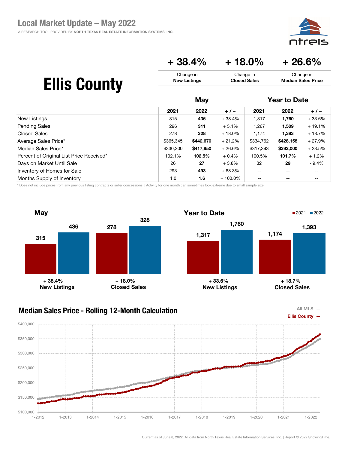

 $+38.4\% + 18.0\% + 26.6\%$ 

Change in Closed Sales

## Ellis County

|                                          | May       |           |            | <b>Year to Date</b>                   |                          |          |
|------------------------------------------|-----------|-----------|------------|---------------------------------------|--------------------------|----------|
|                                          | 2021      | 2022      | $+/-$      | 2021                                  | 2022                     | $+/-$    |
| New Listings                             | 315       | 436       | $+38.4%$   | 1,317                                 | 1,760                    | $+33.6%$ |
| <b>Pending Sales</b>                     | 296       | 311       | $+5.1%$    | 1,267                                 | 1,509                    | $+19.1%$ |
| <b>Closed Sales</b>                      | 278       | 328       | $+18.0%$   | 1.174                                 | 1,393                    | $+18.7%$ |
| Average Sales Price*                     | \$365,345 | \$442,670 | $+21.2%$   | \$334,762                             | \$428,158                | $+27.9%$ |
| Median Sales Price*                      | \$330,200 | \$417,950 | $+26.6%$   | \$317,393                             | \$392,000                | $+23.5%$ |
| Percent of Original List Price Received* | 102.1%    | 102.5%    | $+0.4%$    | 100.5%                                | 101.7%                   | $+1.2%$  |
| Days on Market Until Sale                | 26        | 27        | $+3.8%$    | 32                                    | 29                       | $-9.4%$  |
| Inventory of Homes for Sale              | 293       | 493       | $+68.3%$   | $\overline{\phantom{m}}$              | $\overline{\phantom{m}}$ | --       |
| Months Supply of Inventory               | 1.0       | 1.6       | $+100.0\%$ | $\hspace{0.05cm}$ – $\hspace{0.05cm}$ | --                       | --       |

Change in New Listings

\* Does not include prices from any previous listing contracts or seller concessions. | Activity for one month can sometimes look extreme due to small sample size.





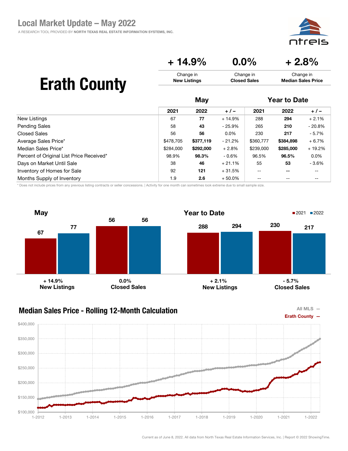pic

#### $+ 14.9\%$  0.0% + 2.8% Change in New Listings Change in Closed Sales Change in Median Sales Price

## Erath County

|                                          | May       |           |          | <b>Year to Date</b> |                          |          |
|------------------------------------------|-----------|-----------|----------|---------------------|--------------------------|----------|
|                                          | 2021      | 2022      | $+/-$    | 2021                | 2022                     | $+/-$    |
| New Listings                             | 67        | 77        | $+14.9%$ | 288                 | 294                      | $+2.1%$  |
| Pending Sales                            | 58        | 43        | - 25.9%  | 265                 | 210                      | $-20.8%$ |
| <b>Closed Sales</b>                      | 56        | 56        | $0.0\%$  | 230                 | 217                      | $-5.7%$  |
| Average Sales Price*                     | \$478,705 | \$377,119 | $-21.2%$ | \$360,777           | \$384,898                | $+6.7%$  |
| Median Sales Price*                      | \$284,000 | \$292,000 | $+2.8%$  | \$239,000           | \$285,000                | $+19.2%$ |
| Percent of Original List Price Received* | 98.9%     | 98.3%     | $-0.6\%$ | 96.5%               | 96.5%                    | $0.0\%$  |
| Days on Market Until Sale                | 38        | 46        | $+21.1%$ | 55                  | 53                       | $-3.6%$  |
| Inventory of Homes for Sale              | 92        | 121       | $+31.5%$ | $-$                 | $\overline{\phantom{m}}$ | --       |
| Months Supply of Inventory               | 1.9       | 2.6       | $+50.0%$ | $- -$               | $- -$                    | --       |

\* Does not include prices from any previous listing contracts or seller concessions. | Activity for one month can sometimes look extreme due to small sample size.



### Median Sales Price - Rolling 12-Month Calculation



### $$100,000$  - 1-2012 \$150,000 \$200,000 \$250,000 \$300,000 \$350,000 \$400,000 1-2012 1-2013 1-2014 1-2015 1-2016 1-2017 1-2018 1-2019 1-2020 1-2021 1-2022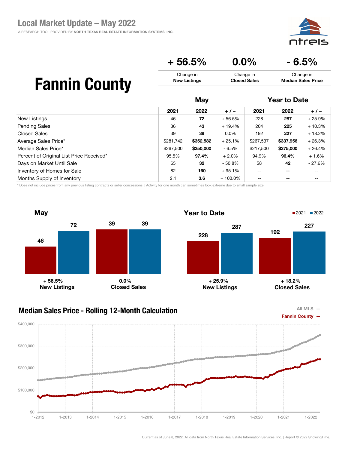

|    | $+56.5%$                         | $0.0\%$                          | $-6.5%$                                |
|----|----------------------------------|----------------------------------|----------------------------------------|
| ty | Change in<br><b>New Listings</b> | Change in<br><b>Closed Sales</b> | Change in<br><b>Median Sales Price</b> |
|    | Mav                              |                                  | <b>Year to Date</b>                    |

# **Fannin Coun**

|                                          |           | ww        |            |           | Tuu tu butu |          |  |
|------------------------------------------|-----------|-----------|------------|-----------|-------------|----------|--|
|                                          | 2021      | 2022      | $+/-$      | 2021      | 2022        | $+/-$    |  |
| New Listings                             | 46        | 72        | $+56.5%$   | 228       | 287         | $+25.9%$ |  |
| Pending Sales                            | 36        | 43        | $+19.4%$   | 204       | 225         | $+10.3%$ |  |
| <b>Closed Sales</b>                      | 39        | 39        | $0.0\%$    | 192       | 227         | $+18.2%$ |  |
| Average Sales Price*                     | \$281,742 | \$352,582 | $+25.1%$   | \$267,537 | \$337,956   | $+26.3%$ |  |
| Median Sales Price*                      | \$267,500 | \$250,000 | $-6.5%$    | \$217,500 | \$275,000   | $+26.4%$ |  |
| Percent of Original List Price Received* | 95.5%     | 97.4%     | $+2.0%$    | 94.9%     | 96.4%       | $+1.6%$  |  |
| Days on Market Until Sale                | 65        | 32        | $-50.8%$   | 58        | 42          | $-27.6%$ |  |
| Inventory of Homes for Sale              | 82        | 160       | $+95.1%$   | $- -$     | $- -$       | $- -$    |  |
| Months Supply of Inventory               | 2.1       | 3.6       | $+100.0\%$ | --        |             | $- -$    |  |

\* Does not include prices from any previous listing contracts or seller concessions. | Activity for one month can sometimes look extreme due to small sample size.





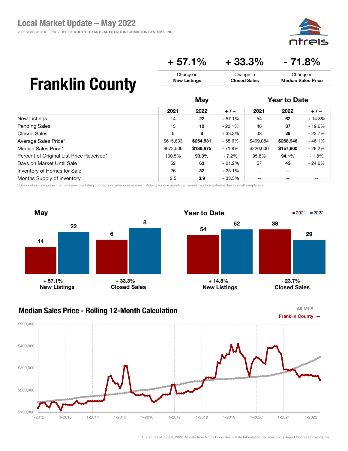

### $+ 57.1\% + 33.3\% - 71.8\%$

Change in Closed Sales

## Franklin County

|                                          | May       |           |          | <b>Year to Date</b> |           |          |
|------------------------------------------|-----------|-----------|----------|---------------------|-----------|----------|
|                                          | 2021      | 2022      | $+/-$    | 2021                | 2022      | $+/-$    |
| New Listings                             | 14        | 22        | $+57.1%$ | 54                  | 62        | $+14.8%$ |
| <b>Pending Sales</b>                     | 13        | 10        | - 23.1%  | 46                  | 37        | $-19.6%$ |
| Closed Sales                             | 6         | 8         | $+33.3%$ | 38                  | 29        | $-23.7%$ |
| Average Sales Price*                     | \$615,833 | \$254,831 | - 58.6%  | \$499,084           | \$268,946 | $-46.1%$ |
| Median Sales Price*                      | \$672,500 | \$189,875 | - 71.8%  | \$220,000           | \$157,900 | $-28.2%$ |
| Percent of Original List Price Received* | 100.5%    | 93.3%     | - 7.2%   | 95.8%               | 94.1%     | $-1.8%$  |
| Days on Market Until Sale                | 52        | 63        | $+21.2%$ | 57                  | 43        | $-24.6%$ |
| Inventory of Homes for Sale              | 26        | 32        | $+23.1%$ | $- -$               | $- -$     | --       |
| Months Supply of Inventory               | 2.5       | 3.9       | $+33.3%$ | $- -$               | $- -$     | --       |

Change in New Listings

\* Does not include prices from any previous listing contracts or seller concessions. | Activity for one month can sometimes look extreme due to small sample size.



#### Median Sales Price - Rolling 12-Month Calculation



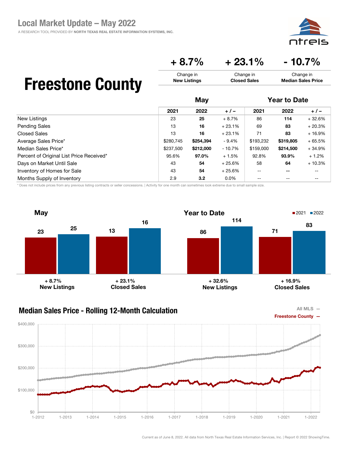A RESEARCH TOOL PROVIDED BY NORTH TEXAS REAL ESTATE INFORMATION SYSTEMS, INC.



Change in Median Sales Price

### $+8.7\%$   $+23.1\%$   $-10.7\%$

Change in Closed Sales

### Freestone County

|                                          | May       |           |          | <b>Year to Date</b> |                          |          |
|------------------------------------------|-----------|-----------|----------|---------------------|--------------------------|----------|
|                                          | 2021      | 2022      | $+/-$    | 2021                | 2022                     | $+/-$    |
| New Listings                             | 23        | 25        | $+8.7%$  | 86                  | 114                      | $+32.6%$ |
| <b>Pending Sales</b>                     | 13        | 16        | $+23.1%$ | 69                  | 83                       | $+20.3%$ |
| Closed Sales                             | 13        | 16        | $+23.1%$ | 71                  | 83                       | $+16.9%$ |
| Average Sales Price*                     | \$280,745 | \$254,394 | $-9.4%$  | \$193,232           | \$319,805                | $+65.5%$ |
| Median Sales Price*                      | \$237,500 | \$212,000 | $-10.7%$ | \$159,000           | \$214,500                | $+34.9%$ |
| Percent of Original List Price Received* | 95.6%     | 97.0%     | $+1.5%$  | 92.8%               | 93.9%                    | $+1.2%$  |
| Days on Market Until Sale                | 43        | 54        | $+25.6%$ | 58                  | 64                       | $+10.3%$ |
| Inventory of Homes for Sale              | 43        | 54        | $+25.6%$ | $- -$               | $\overline{\phantom{m}}$ | --       |
| Months Supply of Inventory               | 2.9       | 3.2       | $0.0\%$  | $- -$               | $- -$                    | --       |

Change in New Listings

\* Does not include prices from any previous listing contracts or seller concessions. | Activity for one month can sometimes look extreme due to small sample size.





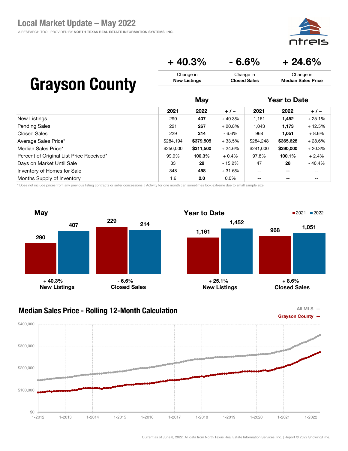A RESEARCH TOOL PROVIDED BY NORTH TEXAS REAL ESTATE INFORMATION SYSTEMS, INC.



Change in Median Sales Price

 $+40.3\%$   $-6.6\%$   $+24.6\%$ 

Change in Closed Sales

### Grayson County

|                                          | May       |           |          | <b>Year to Date</b>      |                          |          |
|------------------------------------------|-----------|-----------|----------|--------------------------|--------------------------|----------|
|                                          | 2021      | 2022      | $+/-$    | 2021                     | 2022                     | $+/-$    |
| New Listings                             | 290       | 407       | $+40.3%$ | 1,161                    | 1,452                    | $+25.1%$ |
| <b>Pending Sales</b>                     | 221       | 267       | $+20.8%$ | 1,043                    | 1,173                    | $+12.5%$ |
| <b>Closed Sales</b>                      | 229       | 214       | - 6.6%   | 968                      | 1,051                    | $+8.6%$  |
| Average Sales Price*                     | \$284,194 | \$379,505 | $+33.5%$ | \$284,248                | \$365,628                | $+28.6%$ |
| Median Sales Price*                      | \$250,000 | \$311,500 | $+24.6%$ | \$241,000                | \$290,000                | $+20.3%$ |
| Percent of Original List Price Received* | 99.9%     | 100.3%    | $+0.4%$  | 97.8%                    | 100.1%                   | $+2.4%$  |
| Days on Market Until Sale                | 33        | 28        | - 15.2%  | 47                       | 28                       | $-40.4%$ |
| Inventory of Homes for Sale              | 348       | 458       | $+31.6%$ | $\overline{\phantom{m}}$ | $\overline{\phantom{m}}$ | --       |
| Months Supply of Inventory               | 1.6       | 2.0       | $0.0\%$  | $\qquad \qquad -$        | $\qquad \qquad -$        | --       |

Change in New Listings

\* Does not include prices from any previous listing contracts or seller concessions. | Activity for one month can sometimes look extreme due to small sample size.



### Median Sales Price - Rolling 12-Month Calculation



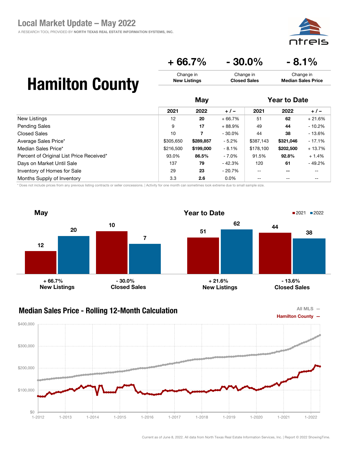

### $+66.7\%$   $-30.0\%$   $-8.1\%$

Change in Closed Sales

## Hamilton County

|                                          | May       |           |           | <b>Year to Date</b> |           |          |
|------------------------------------------|-----------|-----------|-----------|---------------------|-----------|----------|
|                                          | 2021      | 2022      | $+/-$     | 2021                | 2022      | $+/-$    |
| New Listings                             | 12        | 20        | $+66.7%$  | 51                  | 62        | $+21.6%$ |
| <b>Pending Sales</b>                     | 9         | 17        | $+88.9%$  | 49                  | 44        | $-10.2%$ |
| <b>Closed Sales</b>                      | 10        | 7         | $-30.0\%$ | 44                  | 38        | $-13.6%$ |
| Average Sales Price*                     | \$305,650 | \$289,857 | $-5.2\%$  | \$387,143           | \$321,046 | $-17.1%$ |
| Median Sales Price*                      | \$216,500 | \$199,000 | - 8.1%    | \$178,100           | \$202,500 | $+13.7%$ |
| Percent of Original List Price Received* | 93.0%     | 86.5%     | - 7.0%    | 91.5%               | 92.8%     | $+1.4%$  |
| Days on Market Until Sale                | 137       | 79        | - 42.3%   | 120                 | 61        | $-49.2%$ |
| Inventory of Homes for Sale              | 29        | 23        | $-20.7%$  | $- -$               | $- -$     | --       |
| Months Supply of Inventory               | 3.3       | 2.6       | $0.0\%$   | $-$                 | $- -$     | --       |

Change in New Listings

\* Does not include prices from any previous listing contracts or seller concessions. | Activity for one month can sometimes look extreme due to small sample size.



#### Median Sales Price - Rolling 12-Month Calculation



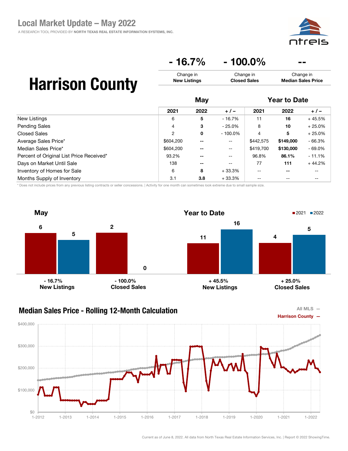### $-16.7\%$   $-100.0\%$

| <b>Harrison County</b> | Change in           | Change in           | Change in                 |
|------------------------|---------------------|---------------------|---------------------------|
|                        | <b>New Listings</b> | <b>Closed Sales</b> | <b>Median Sales Price</b> |
|                        |                     |                     |                           |

|                                          | May       |       |                          | <b>Year to Date</b> |           |           |
|------------------------------------------|-----------|-------|--------------------------|---------------------|-----------|-----------|
|                                          | 2021      | 2022  | $+/-$                    | 2021                | 2022      | $+/-$     |
| New Listings                             | 6         | 5     | $-16.7%$                 | 11                  | 16        | $+45.5%$  |
| Pending Sales                            | 4         | 3     | $-25.0%$                 | 8                   | 10        | $+25.0%$  |
| <b>Closed Sales</b>                      | 2         | 0     | $-100.0\%$               | 4                   | 5         | $+25.0%$  |
| Average Sales Price*                     | \$604,200 | $- -$ | $\overline{\phantom{m}}$ | \$442,575           | \$149,000 | $-66.3%$  |
| Median Sales Price*                      | \$604,200 | --    | $\mathbf{u}$             | \$419,700           | \$130,000 | $-69.0\%$ |
| Percent of Original List Price Received* | 93.2%     | --    | $- -$                    | 96.8%               | 86.1%     | $-11.1%$  |
| Days on Market Until Sale                | 138       | --    | --                       | 77                  | 111       | $+44.2%$  |
| Inventory of Homes for Sale              | 6         | 8     | $+33.3%$                 | $- -$               | $- -$     | --        |
| Months Supply of Inventory               | 3.1       | 3.8   | $+33.3%$                 |                     |           |           |

\* Does not include prices from any previous listing contracts or seller concessions. | Activity for one month can sometimes look extreme due to small sample size.



#### Median Sales Price - Rolling 12-Month Calculation

All MLS  $-$ 

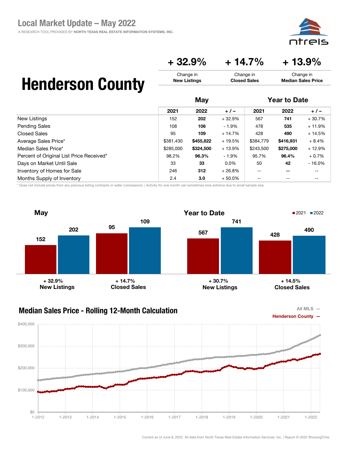aic

Change in Median Sales Price

### $+32.9\% + 14.7\% + 13.9\%$

Change in Closed Sales

## Henderson County

|                                          | May       |           |          | <b>Year to Date</b> |                          |          |
|------------------------------------------|-----------|-----------|----------|---------------------|--------------------------|----------|
|                                          | 2021      | 2022      | $+/-$    | 2021                | 2022                     | $+/-$    |
| New Listings                             | 152       | 202       | $+32.9%$ | 567                 | 741                      | $+30.7%$ |
| <b>Pending Sales</b>                     | 108       | 106       | $-1.9\%$ | 478                 | 535                      | $+11.9%$ |
| <b>Closed Sales</b>                      | 95        | 109       | $+14.7%$ | 428                 | 490                      | $+14.5%$ |
| Average Sales Price*                     | \$381,430 | \$455,822 | $+19.5%$ | \$384,779           | \$416,931                | $+8.4%$  |
| Median Sales Price*                      | \$285,000 | \$324,500 | $+13.9%$ | \$243,500           | \$275,000                | $+12.9%$ |
| Percent of Original List Price Received* | 98.2%     | 96.3%     | $-1.9\%$ | 95.7%               | 96.4%                    | $+0.7%$  |
| Days on Market Until Sale                | 33        | 33        | $0.0\%$  | 50                  | 42                       | $-16.0%$ |
| Inventory of Homes for Sale              | 246       | 312       | $+26.8%$ | $- -$               | $\overline{\phantom{m}}$ | --       |
| Months Supply of Inventory               | 2.4       | 3.0       | $+50.0%$ | --                  | $- -$                    | --       |

Change in New Listings

\* Does not include prices from any previous listing contracts or seller concessions. | Activity for one month can sometimes look extreme due to small sample size.





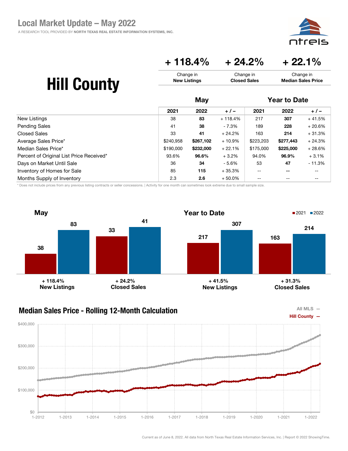

### $+ 118.4\% + 24.2\% + 22.1\%$

| <b>Hill County</b> | Change in<br><b>New Listings</b> |      |          | Change in<br>Change in<br><b>Closed Sales</b><br><b>Median Sales Price</b> |                     |          |
|--------------------|----------------------------------|------|----------|----------------------------------------------------------------------------|---------------------|----------|
|                    |                                  | May  |          |                                                                            | <b>Year to Date</b> |          |
|                    | 2021                             | 2022 | $+/-$    | 2021                                                                       | 2022                | $+/-$    |
| New Listings       | 38                               | 83   | + 118.4% | 217                                                                        | 307                 | $+41.5%$ |

| <b>Pending Sales</b>                     | 41        | 38        | - 7.3%    | 189       | 228       | $+20.6%$ |
|------------------------------------------|-----------|-----------|-----------|-----------|-----------|----------|
| <b>Closed Sales</b>                      | 33        | 41        | $+24.2\%$ | 163       | 214       | $+31.3%$ |
| Average Sales Price*                     | \$240.958 | \$267.102 | $+10.9%$  | \$223,203 | \$277.443 | $+24.3%$ |
| Median Sales Price*                      | \$190,000 | \$232,000 | $+22.1%$  | \$175,000 | \$225,000 | $+28.6%$ |
| Percent of Original List Price Received* | 93.6%     | 96.6%     | $+3.2%$   | 94.0%     | 96.9%     | $+3.1%$  |
| Days on Market Until Sale                | 36        | 34        | - 5.6%    | 53        | 47        | - 11.3%  |
| Inventory of Homes for Sale              | 85        | 115       | $+35.3%$  | --        | --        | $- -$    |
| Months Supply of Inventory               | 2.3       | 2.6       | $+50.0\%$ | --        |           | $- -$    |

\* Does not include prices from any previous listing contracts or seller concessions. | Activity for one month can sometimes look extreme due to small sample size.





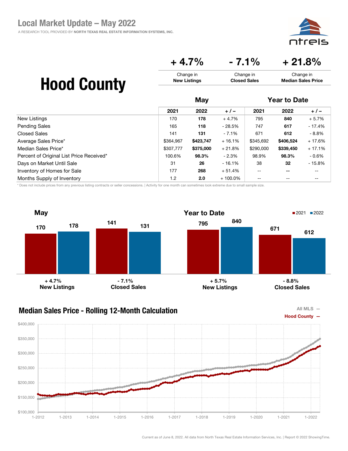

### $+4.7\%$   $-7.1\%$   $+21.8\%$

Change in Closed Sales

# Hood County

|                                          | May       |           |            | <b>Year to Date</b>                   |                          |          |
|------------------------------------------|-----------|-----------|------------|---------------------------------------|--------------------------|----------|
|                                          | 2021      | 2022      | $+/-$      | 2021                                  | 2022                     | $+/-$    |
| New Listings                             | 170       | 178       | $+4.7%$    | 795                                   | 840                      | $+5.7%$  |
| <b>Pending Sales</b>                     | 165       | 118       | $-28.5%$   | 747                                   | 617                      | $-17.4%$ |
| <b>Closed Sales</b>                      | 141       | 131       | $-7.1\%$   | 671                                   | 612                      | - 8.8%   |
| Average Sales Price*                     | \$364.967 | \$423,747 | $+16.1%$   | \$345,692                             | \$406,524                | $+17.6%$ |
| Median Sales Price*                      | \$307.777 | \$375,000 | $+21.8%$   | \$290,000                             | \$339,450                | $+17.1%$ |
| Percent of Original List Price Received* | 100.6%    | 98.3%     | $-2.3\%$   | 98.9%                                 | 98.3%                    | $-0.6\%$ |
| Days on Market Until Sale                | 31        | 26        | $-16.1%$   | 38                                    | 32                       | $-15.8%$ |
| Inventory of Homes for Sale              | 177       | 268       | $+51.4%$   | $\hspace{0.05cm}$ – $\hspace{0.05cm}$ | $\overline{\phantom{m}}$ | --       |
| Months Supply of Inventory               | 1.2       | 2.0       | $+100.0\%$ | $\qquad \qquad -$                     | --                       | --       |

Change in New Listings

\* Does not include prices from any previous listing contracts or seller concessions. | Activity for one month can sometimes look extreme due to small sample size.



#### Median Sales Price - Rolling 12-Month Calculation



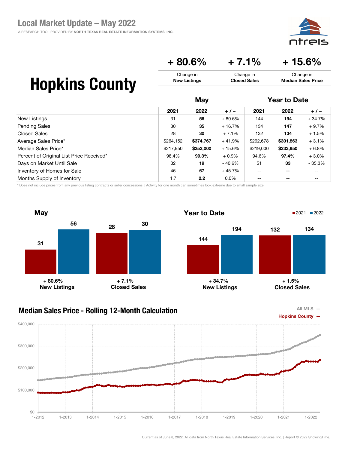

 $+80.6\%$   $+7.1\%$   $+15.6\%$ 

Change in Closed Sales

## Hopkins County

|                                          | May       |           |          | <b>Year to Date</b>      |                          |          |
|------------------------------------------|-----------|-----------|----------|--------------------------|--------------------------|----------|
|                                          | 2021      | 2022      | $+/-$    | 2021                     | 2022                     | $+/-$    |
| New Listings                             | 31        | 56        | $+80.6%$ | 144                      | 194                      | $+34.7%$ |
| <b>Pending Sales</b>                     | 30        | 35        | $+16.7%$ | 134                      | 147                      | $+9.7%$  |
| <b>Closed Sales</b>                      | 28        | 30        | $+7.1%$  | 132                      | 134                      | $+1.5%$  |
| Average Sales Price*                     | \$264,152 | \$374,767 | $+41.9%$ | \$292,678                | \$301,863                | $+3.1%$  |
| Median Sales Price*                      | \$217,950 | \$252,000 | $+15.6%$ | \$219,000                | \$233,950                | $+6.8%$  |
| Percent of Original List Price Received* | 98.4%     | 99.3%     | $+0.9%$  | 94.6%                    | 97.4%                    | $+3.0%$  |
| Days on Market Until Sale                | 32        | 19        | - 40.6%  | 51                       | 33                       | $-35.3%$ |
| Inventory of Homes for Sale              | 46        | 67        | $+45.7%$ | $\overline{\phantom{m}}$ | $\overline{\phantom{m}}$ | --       |
| Months Supply of Inventory               | 1.7       | 2.2       | $0.0\%$  | $-$                      | $- -$                    | --       |

Change in New Listings

\* Does not include prices from any previous listing contracts or seller concessions. | Activity for one month can sometimes look extreme due to small sample size.



### Median Sales Price - Rolling 12-Month Calculation



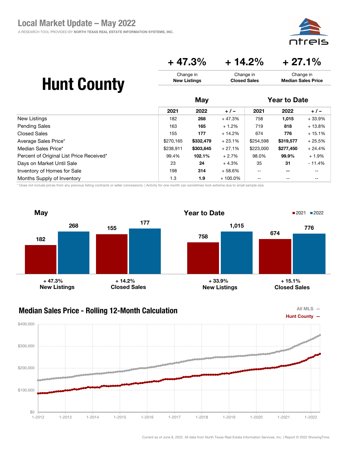

### $+ 47.3\% + 14.2\% + 27.1\%$

Change in Closed Sales

# Hunt County

|                                          | May       |           |            | <b>Year to Date</b>      |           |          |
|------------------------------------------|-----------|-----------|------------|--------------------------|-----------|----------|
|                                          | 2021      | 2022      | $+/-$      | 2021                     | 2022      | $+/-$    |
| New Listings                             | 182       | 268       | $+47.3%$   | 758                      | 1,015     | $+33.9%$ |
| <b>Pending Sales</b>                     | 163       | 165       | $+1.2%$    | 719                      | 818       | $+13.8%$ |
| Closed Sales                             | 155       | 177       | $+14.2%$   | 674                      | 776       | $+15.1%$ |
| Average Sales Price*                     | \$270,165 | \$332,479 | $+23.1%$   | \$254,598                | \$319,577 | $+25.5%$ |
| Median Sales Price*                      | \$238,911 | \$303,645 | $+27.1%$   | \$223,000                | \$277,450 | $+24.4%$ |
| Percent of Original List Price Received* | 99.4%     | 102.1%    | $+2.7%$    | 98.0%                    | 99.9%     | $+1.9%$  |
| Days on Market Until Sale                | 23        | 24        | $+4.3%$    | 35                       | 31        | $-11.4%$ |
| Inventory of Homes for Sale              | 198       | 314       | $+58.6%$   | $\overline{\phantom{a}}$ | $- -$     | --       |
| Months Supply of Inventory               | 1.3       | 1.9       | $+100.0\%$ | $- -$                    | $- -$     | --       |

Change in New Listings

\* Does not include prices from any previous listing contracts or seller concessions. | Activity for one month can sometimes look extreme due to small sample size.



#### Median Sales Price - Rolling 12-Month Calculation



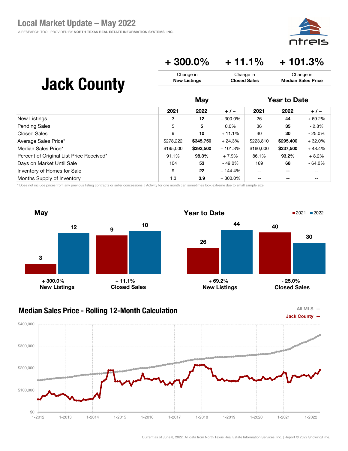

### $+300.0\%$   $+11.1\%$   $+101.3\%$

| <b>Jack County</b>   | Change in<br><b>New Listings</b> |           |            | Change in<br>Change in<br><b>Closed Sales</b><br><b>Median Sales Price</b> |                     |          |
|----------------------|----------------------------------|-----------|------------|----------------------------------------------------------------------------|---------------------|----------|
|                      |                                  | May       |            |                                                                            | <b>Year to Date</b> |          |
|                      | 2021                             | 2022      | $+/-$      | 2021                                                                       | 2022                | $+/-$    |
| New Listings         | 3                                | 12        | $+300.0\%$ | 26                                                                         | 44                  | $+69.2%$ |
| <b>Pending Sales</b> | 5                                | 5         | $0.0\%$    | 36                                                                         | 35                  | $-2.8%$  |
| <b>Closed Sales</b>  | 9                                | 10        | $+11.1%$   | 40                                                                         | 30                  | $-25.0%$ |
| Average Sales Price* | \$278,222                        | \$345,750 | $+24.3%$   | \$223,810                                                                  | \$295,400           | $+32.0%$ |
| Median Sales Price*  | \$195,000                        | \$392,500 | $+101.3%$  | \$160,000                                                                  | \$237,500           | $+48.4%$ |

Percent of Original List Price Received\* 191.1% 98.3% + 7.9% 86.1% 93.2% + 8.2% Days on Market Until Sale 104 104 53 - 49.0% 189 68 - 64.0% Inventory of Homes for Sale  $\begin{array}{cccc} 9 & 22 & +144.4\% & -5 & -7 & -7 \end{array}$ Months Supply of Inventory 1.3 3.9 + 300.0% -- -- --

\* Does not include prices from any previous listing contracts or seller concessions. | Activity for one month can sometimes look extreme due to small sample size.



#### Median Sales Price - Rolling 12-Month Calculation



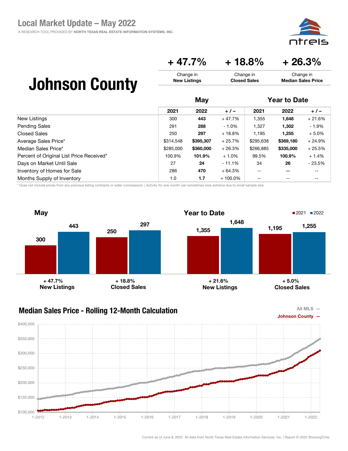

### $+ 47.7\% + 18.8\% + 26.3\%$

Change in Closed Sales

## Johnson County

|                                          | May       |           |            | <b>Year to Date</b> |                          |          |
|------------------------------------------|-----------|-----------|------------|---------------------|--------------------------|----------|
|                                          | 2021      | 2022      | $+/-$      | 2021                | 2022                     | $+/-$    |
| New Listings                             | 300       | 443       | $+47.7%$   | 1,355               | 1,648                    | $+21.6%$ |
| <b>Pending Sales</b>                     | 291       | 288       | $-1.0\%$   | 1,327               | 1,302                    | $-1.9%$  |
| Closed Sales                             | 250       | 297       | $+18.8%$   | 1.195               | 1,255                    | $+5.0%$  |
| Average Sales Price*                     | \$314,548 | \$395,307 | $+25.7%$   | \$295,638           | \$369,180                | $+24.9%$ |
| Median Sales Price*                      | \$285,000 | \$360,000 | $+26.3%$   | \$266,885           | \$335,000                | $+25.5%$ |
| Percent of Original List Price Received* | 100.9%    | 101.9%    | $+1.0%$    | 99.5%               | 100.9%                   | $+1.4%$  |
| Days on Market Until Sale                | 27        | 24        | $-11.1\%$  | 34                  | 26                       | $-23.5%$ |
| Inventory of Homes for Sale              | 286       | 470       | $+64.3%$   | --                  | $\overline{\phantom{m}}$ | --       |
| Months Supply of Inventory               | 1.0       | 1.7       | $+100.0\%$ | $- -$               | $- -$                    | --       |

Change in New Listings

\* Does not include prices from any previous listing contracts or seller concessions. | Activity for one month can sometimes look extreme due to small sample size.



### Median Sales Price - Rolling 12-Month Calculation



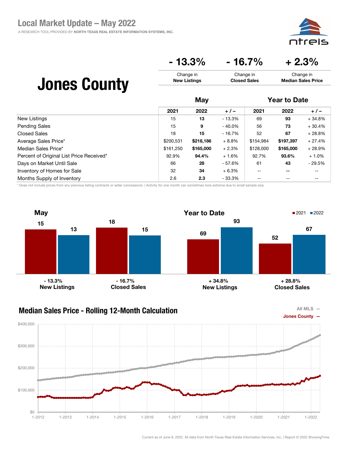

### $-13.3\%$   $-16.7\%$   $+2.3\%$

Change in Closed Sales

## Jones County

|                                          | May       |           |           | <b>Year to Date</b> |           |          |
|------------------------------------------|-----------|-----------|-----------|---------------------|-----------|----------|
|                                          | 2021      | 2022      | $+/-$     | 2021                | 2022      | $+/-$    |
| New Listings                             | 15        | 13        | $-13.3%$  | 69                  | 93        | $+34.8%$ |
| <b>Pending Sales</b>                     | 15        | 9         | $-40.0\%$ | 56                  | 73        | $+30.4%$ |
| <b>Closed Sales</b>                      | 18        | 15        | - 16.7%   | 52                  | 67        | $+28.8%$ |
| Average Sales Price*                     | \$200,531 | \$218,186 | $+8.8%$   | \$154,984           | \$197,397 | $+27.4%$ |
| Median Sales Price*                      | \$161.250 | \$165,000 | $+2.3%$   | \$128,000           | \$165,000 | $+28.9%$ |
| Percent of Original List Price Received* | 92.9%     | 94.4%     | $+1.6%$   | 92.7%               | 93.6%     | $+1.0%$  |
| Days on Market Until Sale                | 66        | 28        | - 57.6%   | 61                  | 43        | $-29.5%$ |
| Inventory of Homes for Sale              | 32        | 34        | $+6.3%$   | $- -$               | $- -$     | --       |
| Months Supply of Inventory               | 2.6       | 2.3       | - 33.3%   | $-$                 | $- -$     | --       |

Change in New Listings

\* Does not include prices from any previous listing contracts or seller concessions. | Activity for one month can sometimes look extreme due to small sample size.





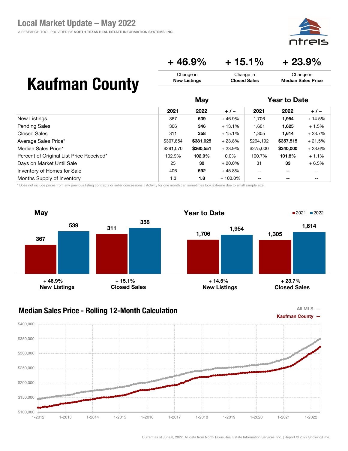

 $+46.9\% +15.1\% +23.9\%$ 

Change in Closed Sales

### Kaufman County

|                                          |           | May       |            |                          | <b>Year to Date</b>      |          |  |
|------------------------------------------|-----------|-----------|------------|--------------------------|--------------------------|----------|--|
|                                          | 2021      | 2022      | $+/-$      | 2021                     | 2022                     | $+/-$    |  |
| New Listings                             | 367       | 539       | $+46.9%$   | 1,706                    | 1,954                    | $+14.5%$ |  |
| <b>Pending Sales</b>                     | 306       | 346       | $+13.1%$   | 1,601                    | 1,625                    | $+1.5%$  |  |
| <b>Closed Sales</b>                      | 311       | 358       | $+15.1%$   | 1,305                    | 1,614                    | $+23.7%$ |  |
| Average Sales Price*                     | \$307,854 | \$381,025 | $+23.8%$   | \$294,192                | \$357,515                | $+21.5%$ |  |
| Median Sales Price*                      | \$291,070 | \$360,551 | $+23.9%$   | \$275,000                | \$340,000                | $+23.6%$ |  |
| Percent of Original List Price Received* | 102.9%    | 102.9%    | $0.0\%$    | 100.7%                   | 101.8%                   | $+1.1%$  |  |
| Days on Market Until Sale                | 25        | 30        | $+20.0\%$  | 31                       | 33                       | $+6.5%$  |  |
| Inventory of Homes for Sale              | 406       | 592       | $+45.8%$   | $\overline{\phantom{m}}$ | $\overline{\phantom{m}}$ | --       |  |
| Months Supply of Inventory               | 1.3       | 1.8       | $+100.0\%$ | $\qquad \qquad -$        | $\qquad \qquad -$        | --       |  |

Change in New Listings

\* Does not include prices from any previous listing contracts or seller concessions. | Activity for one month can sometimes look extreme due to small sample size.





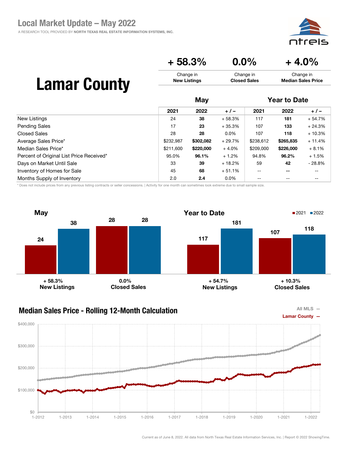



May Year to Date

|                                          | 2021      | 2022      | $+/-$    | 2021      | 2022      | $+/-$    |  |
|------------------------------------------|-----------|-----------|----------|-----------|-----------|----------|--|
| New Listings                             | 24        | 38        | $+58.3%$ | 117       | 181       | $+54.7%$ |  |
| <b>Pending Sales</b>                     | 17        | 23        | $+35.3%$ | 107       | 133       | $+24.3%$ |  |
| Closed Sales                             | 28        | 28        | $0.0\%$  | 107       | 118       | $+10.3%$ |  |
| Average Sales Price*                     | \$232,987 | \$302,082 | $+29.7%$ | \$238,612 | \$265,835 | $+11.4%$ |  |
| Median Sales Price*                      | \$211,600 | \$220,000 | $+4.0%$  | \$209,000 | \$226,000 | $+8.1%$  |  |
| Percent of Original List Price Received* | 95.0%     | 96.1%     | $+1.2%$  | 94.8%     | 96.2%     | $+1.5%$  |  |
| Days on Market Until Sale                | 33        | 39        | $+18.2%$ | 59        | 42        | $-28.8%$ |  |
| Inventory of Homes for Sale              | 45        | 68        | $+51.1%$ | --        | --        | --       |  |
| Months Supply of Inventory               | 2.0       | 2.4       | $0.0\%$  | --        | --        | --       |  |

\* Does not include prices from any previous listing contracts or seller concessions. | Activity for one month can sometimes look extreme due to small sample size.



#### Median Sales Price - Rolling 12-Month Calculation

![](_page_31_Figure_8.jpeg)

![](_page_31_Figure_9.jpeg)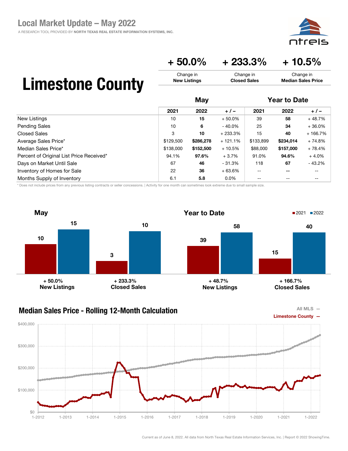![](_page_32_Picture_1.jpeg)

 $+ 50.0\% + 233.3\% + 10.5\%$ 

Change in Closed Sales

# Limestone County

|                                          | May       |           |           | <b>Year to Date</b>                   |                          |           |
|------------------------------------------|-----------|-----------|-----------|---------------------------------------|--------------------------|-----------|
|                                          | 2021      | 2022      | $+/-$     | 2021                                  | 2022                     | $+/-$     |
| New Listings                             | 10        | 15        | $+50.0%$  | 39                                    | 58                       | $+48.7%$  |
| <b>Pending Sales</b>                     | 10        | 6         | $-40.0\%$ | 25                                    | 34                       | $+36.0%$  |
| <b>Closed Sales</b>                      | 3         | 10        | $+233.3%$ | 15                                    | 40                       | $+166.7%$ |
| Average Sales Price*                     | \$129,500 | \$286,278 | $+121.1%$ | \$133,899                             | \$234,014                | $+74.8%$  |
| Median Sales Price*                      | \$138,000 | \$152,500 | $+10.5%$  | \$88,000                              | \$157,000                | $+78.4%$  |
| Percent of Original List Price Received* | 94.1%     | 97.6%     | $+3.7%$   | 91.0%                                 | 94.6%                    | $+4.0%$   |
| Days on Market Until Sale                | 67        | 46        | $-31.3%$  | 118                                   | 67                       | $-43.2%$  |
| Inventory of Homes for Sale              | 22        | 36        | $+63.6%$  | $\hspace{0.05cm}$ – $\hspace{0.05cm}$ | $\overline{\phantom{m}}$ | --        |
| Months Supply of Inventory               | 6.1       | 5.8       | $0.0\%$   | --                                    | --                       | --        |

Change in New Listings

\* Does not include prices from any previous listing contracts or seller concessions. | Activity for one month can sometimes look extreme due to small sample size.

![](_page_32_Figure_6.jpeg)

### Median Sales Price - Rolling 12-Month Calculation

![](_page_32_Figure_8.jpeg)

![](_page_32_Figure_9.jpeg)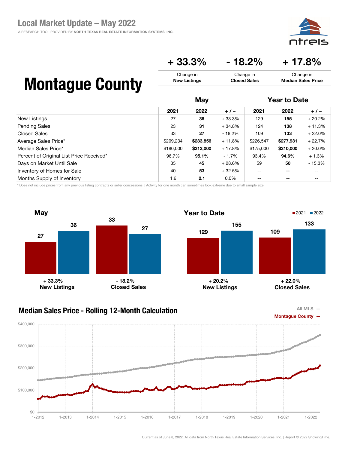A RESEARCH TOOL PROVIDED BY NORTH TEXAS REAL ESTATE INFORMATION SYSTEMS, INC.

![](_page_33_Picture_2.jpeg)

Change in Median Sales Price

### $+33.3\%$   $-18.2\%$   $+17.8\%$

Change in Closed Sales

### Montague County

|                                          | May       |           |          | <b>Year to Date</b> |           |           |
|------------------------------------------|-----------|-----------|----------|---------------------|-----------|-----------|
|                                          | 2021      | 2022      | $+/-$    | 2021                | 2022      | $+/-$     |
| New Listings                             | 27        | 36        | $+33.3%$ | 129                 | 155       | $+20.2%$  |
| <b>Pending Sales</b>                     | 23        | 31        | $+34.8%$ | 124                 | 138       | $+11.3%$  |
| Closed Sales                             | 33        | 27        | - 18.2%  | 109                 | 133       | $+22.0%$  |
| Average Sales Price*                     | \$209,234 | \$233,856 | $+11.8%$ | \$226,547           | \$277,931 | $+22.7%$  |
| Median Sales Price*                      | \$180,000 | \$212,000 | $+17.8%$ | \$175,000           | \$210,000 | $+20.0\%$ |
| Percent of Original List Price Received* | 96.7%     | 95.1%     | $-1.7%$  | 93.4%               | 94.6%     | $+1.3%$   |
| Days on Market Until Sale                | 35        | 45        | $+28.6%$ | 59                  | 50        | $-15.3%$  |
| Inventory of Homes for Sale              | 40        | 53        | $+32.5%$ | $-$                 | $- -$     | --        |
| Months Supply of Inventory               | 1.6       | 2.1       | $0.0\%$  | --                  | --        | --        |

Change in New Listings

\* Does not include prices from any previous listing contracts or seller concessions. | Activity for one month can sometimes look extreme due to small sample size.

![](_page_33_Figure_7.jpeg)

![](_page_33_Figure_9.jpeg)

![](_page_33_Figure_10.jpeg)

![](_page_33_Figure_11.jpeg)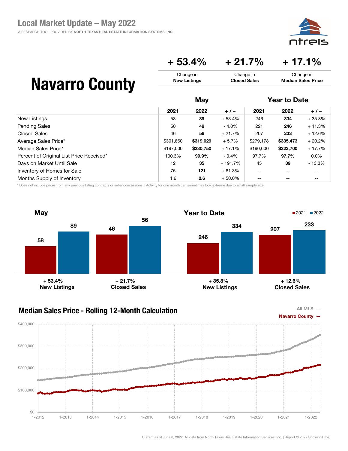ajc

Change in Median Sales Price

### $+ 53.4\% + 21.7\% + 17.1\%$

Change in Closed Sales

### Navarro County

|                                          | May       |           |           | <b>Year to Date</b>      |           |          |
|------------------------------------------|-----------|-----------|-----------|--------------------------|-----------|----------|
|                                          | 2021      | 2022      | $+/-$     | 2021                     | 2022      | $+/-$    |
| New Listings                             | 58        | 89        | $+53.4%$  | 246                      | 334       | $+35.8%$ |
| <b>Pending Sales</b>                     | 50        | 48        | $-4.0\%$  | 221                      | 246       | $+11.3%$ |
| Closed Sales                             | 46        | 56        | $+21.7%$  | 207                      | 233       | $+12.6%$ |
| Average Sales Price*                     | \$301,860 | \$319,029 | $+5.7%$   | \$279,178                | \$335,473 | $+20.2%$ |
| Median Sales Price*                      | \$197,000 | \$230,750 | $+17.1%$  | \$190,000                | \$223,700 | $+17.7%$ |
| Percent of Original List Price Received* | 100.3%    | 99.9%     | $-0.4\%$  | 97.7%                    | 97.7%     | $0.0\%$  |
| Days on Market Until Sale                | 12        | 35        | + 191.7%  | 45                       | 39        | $-13.3%$ |
| Inventory of Homes for Sale              | 75        | 121       | $+61.3%$  | $\overline{\phantom{m}}$ | $- -$     | --       |
| Months Supply of Inventory               | 1.6       | 2.6       | $+50.0\%$ | $- -$                    | $- -$     | --       |

Change in New Listings

\* Does not include prices from any previous listing contracts or seller concessions. | Activity for one month can sometimes look extreme due to small sample size.

![](_page_34_Figure_6.jpeg)

![](_page_34_Figure_8.jpeg)

![](_page_34_Figure_9.jpeg)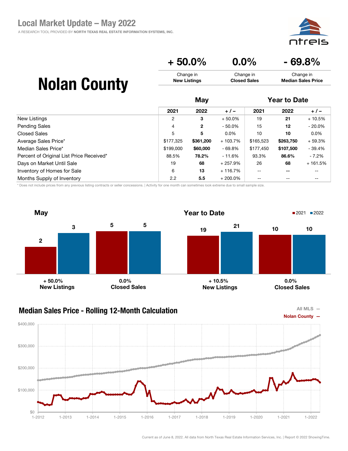![](_page_35_Picture_1.jpeg)

| $+50.0\%$           | $0.0\%$             | $-69.8%$                  |
|---------------------|---------------------|---------------------------|
| Change in           | Change in           | Change in                 |
| <b>New Listings</b> | <b>Closed Sales</b> | <b>Median Sales Price</b> |
|                     |                     |                           |

May Year to Date

## Nolan County

|                                          | 2021      | 2022          | $+/-$      | 2021      | 2022      | $+/-$     |  |
|------------------------------------------|-----------|---------------|------------|-----------|-----------|-----------|--|
| New Listings                             | 2         | 3             | $+50.0\%$  | 19        | 21        | $+10.5%$  |  |
| <b>Pending Sales</b>                     | 4         | $\mathbf{2}$  | $-50.0%$   | 15        | 12        | $-20.0\%$ |  |
| Closed Sales                             | 5         | 5             | $0.0\%$    | 10        | 10        | $0.0\%$   |  |
| Average Sales Price*                     | \$177,325 | \$361,200     | $+103.7%$  | \$165,523 | \$263,750 | $+59.3%$  |  |
| Median Sales Price*                      | \$199,000 | \$60,000      | $-69.8%$   | \$177,450 | \$107,500 | $-39.4%$  |  |
| Percent of Original List Price Received* | 88.5%     | 78.2%         | $-11.6%$   | 93.3%     | 86.6%     | $-7.2%$   |  |
| Days on Market Until Sale                | 19        | 68            | + 257.9%   | 26        | 68        | $+161.5%$ |  |
| Inventory of Homes for Sale              | 6         | 13            | + 116.7%   | $- -$     | --        | --        |  |
| Months Supply of Inventory               | 2.2       | $5.5^{\circ}$ | $+200.0\%$ | --        | --        | --        |  |

\* Does not include prices from any previous listing contracts or seller concessions. | Activity for one month can sometimes look extreme due to small sample size.

![](_page_35_Figure_6.jpeg)

#### Median Sales Price - Rolling 12-Month Calculation

![](_page_35_Figure_8.jpeg)

![](_page_35_Figure_9.jpeg)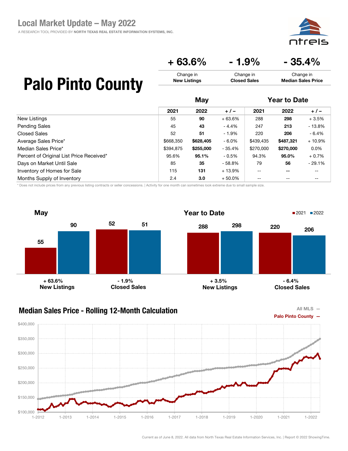A RESEARCH TOOL PROVIDED BY NORTH TEXAS REAL ESTATE INFORMATION SYSTEMS, INC.

![](_page_36_Picture_2.jpeg)

Change in Median Sales Price

### $+ 63.6\% - 1.9\% - 35.4\%$

Change in Closed Sales

### Palo Pinto County

|                                          |           | May       |          |           | <b>Year to Date</b> |          |  |
|------------------------------------------|-----------|-----------|----------|-----------|---------------------|----------|--|
|                                          | 2021      | 2022      | $+/-$    | 2021      | 2022                | $+/-$    |  |
| <b>New Listings</b>                      | 55        | 90        | $+63.6%$ | 288       | 298                 | $+3.5%$  |  |
| <b>Pending Sales</b>                     | 45        | 43        | - 4.4%   | 247       | 213                 | $-13.8%$ |  |
| <b>Closed Sales</b>                      | 52        | 51        | $-1.9%$  | 220       | 206                 | $-6.4%$  |  |
| Average Sales Price*                     | \$668,350 | \$628,405 | - 6.0%   | \$439,435 | \$487,321           | $+10.9%$ |  |
| Median Sales Price*                      | \$394.875 | \$255,000 | $-35.4%$ | \$270,000 | \$270,000           | $0.0\%$  |  |
| Percent of Original List Price Received* | 95.6%     | 95.1%     | $-0.5\%$ | 94.3%     | 95.0%               | $+0.7%$  |  |
| Days on Market Until Sale                | 85        | 35        | $-58.8%$ | 79        | 56                  | $-29.1%$ |  |
| Inventory of Homes for Sale              | 115       | 131       | $+13.9%$ | $- -$     | $- -$               | --       |  |
| Months Supply of Inventory               | 2.4       | 3.0       | $+50.0%$ | $-$       | $- -$               | --       |  |

Change in New Listings

\* Does not include prices from any previous listing contracts or seller concessions. | Activity for one month can sometimes look extreme due to small sample size.

![](_page_36_Figure_7.jpeg)

#### Median Sales Price - Rolling 12-Month Calculation

![](_page_36_Figure_9.jpeg)

![](_page_36_Figure_10.jpeg)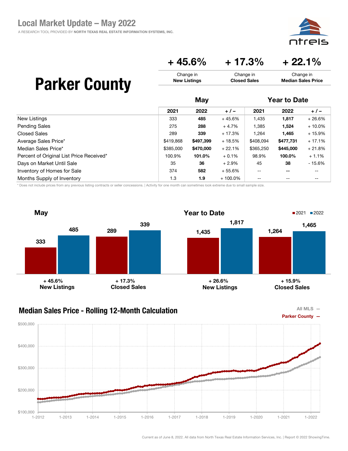eis חדר

### $+ 45.6\% + 17.3\% + 22.1\%$

| <b>Parker County</b> | Change in           | Change in           | Change in                 |
|----------------------|---------------------|---------------------|---------------------------|
|                      | <b>New Listings</b> | <b>Closed Sales</b> | <b>Median Sales Price</b> |
|                      | May                 |                     | <b>Year to Date</b>       |

|                                          | 2021      | 2022      | $+/-$      | 2021      | 2022      | $+/-$    |
|------------------------------------------|-----------|-----------|------------|-----------|-----------|----------|
| New Listings                             | 333       | 485       | $+45.6%$   | 1,435     | 1,817     | $+26.6%$ |
| <b>Pending Sales</b>                     | 275       | 288       | $+4.7%$    | 1,385     | 1,524     | $+10.0%$ |
| <b>Closed Sales</b>                      | 289       | 339       | $+17.3%$   | 1,264     | 1,465     | $+15.9%$ |
| Average Sales Price*                     | \$419,868 | \$497,399 | $+18.5%$   | \$408,094 | \$477,731 | $+17.1%$ |
| Median Sales Price*                      | \$385,000 | \$470,000 | $+22.1%$   | \$365,250 | \$445,000 | $+21.8%$ |
| Percent of Original List Price Received* | 100.9%    | 101.0%    | $+0.1%$    | 98.9%     | 100.0%    | $+1.1%$  |
| Days on Market Until Sale                | 35        | 36        | $+2.9\%$   | 45        | 38        | $-15.6%$ |
| Inventory of Homes for Sale              | 374       | 582       | $+55.6%$   | $- -$     | $- -$     | --       |
| Months Supply of Inventory               | 1.3       | 1.9       | $+100.0\%$ | --        |           |          |

\* Does not include prices from any previous listing contracts or seller concessions. | Activity for one month can sometimes look extreme due to small sample size.

![](_page_37_Figure_6.jpeg)

![](_page_37_Figure_8.jpeg)

![](_page_37_Figure_9.jpeg)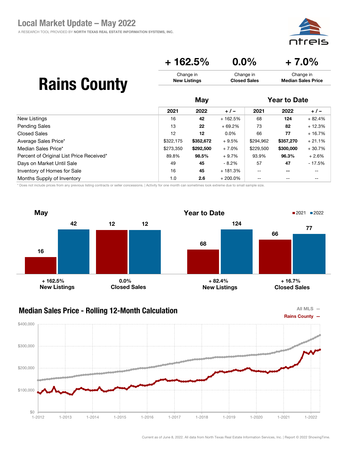#### $+ 162.5\%$  0.0%  $+ 7.0\%$ Change in New Listings Change in Closed Sales Change in Median Sales Price

# Rains County

|                                          |           | May       |            |           | <b>Year to Date</b>      |          |  |
|------------------------------------------|-----------|-----------|------------|-----------|--------------------------|----------|--|
|                                          | 2021      | 2022      | $+/-$      | 2021      | 2022                     | $+/-$    |  |
| New Listings                             | 16        | 42        | + 162.5%   | 68        | 124                      | $+82.4%$ |  |
| <b>Pending Sales</b>                     | 13        | 22        | $+69.2%$   | 73        | 82                       | $+12.3%$ |  |
| Closed Sales                             | 12        | 12        | $0.0\%$    | 66        | 77                       | $+16.7%$ |  |
| Average Sales Price*                     | \$322,175 | \$352,672 | $+9.5%$    | \$294,962 | \$357,270                | $+21.1%$ |  |
| Median Sales Price*                      | \$273,350 | \$292,500 | $+7.0%$    | \$229,500 | \$300,000                | $+30.7%$ |  |
| Percent of Original List Price Received* | 89.8%     | 98.5%     | $+9.7%$    | 93.9%     | 96.3%                    | $+2.6%$  |  |
| Days on Market Until Sale                | 49        | 45        | $-8.2\%$   | 57        | 47                       | $-17.5%$ |  |
| Inventory of Homes for Sale              | 16        | 45        | + 181.3%   | $- -$     | $\overline{\phantom{m}}$ | --       |  |
| Months Supply of Inventory               | 1.0       | 2.6       | $+200.0\%$ | $- -$     | $- -$                    | --       |  |

\* Does not include prices from any previous listing contracts or seller concessions. | Activity for one month can sometimes look extreme due to small sample size.

![](_page_38_Figure_6.jpeg)

### Median Sales Price - Rolling 12-Month Calculation

![](_page_38_Figure_8.jpeg)

![](_page_38_Figure_9.jpeg)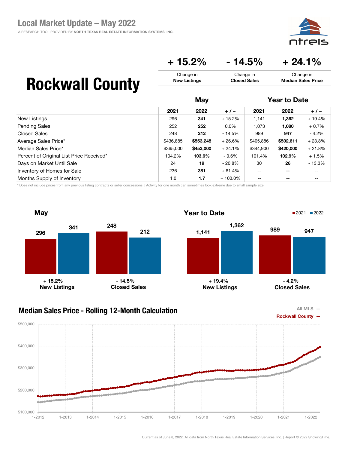![](_page_39_Picture_1.jpeg)

### $+ 15.2\% - 14.5\% + 24.1\%$

Change in Closed Sales

## Rockwall County

|                                          | May       |           |            | <b>Year to Date</b> |                          |          |
|------------------------------------------|-----------|-----------|------------|---------------------|--------------------------|----------|
|                                          | 2021      | 2022      | $+/-$      | 2021                | 2022                     | $+/-$    |
| New Listings                             | 296       | 341       | $+15.2%$   | 1,141               | 1,362                    | $+19.4%$ |
| <b>Pending Sales</b>                     | 252       | 252       | $0.0\%$    | 1,073               | 1,080                    | $+0.7%$  |
| <b>Closed Sales</b>                      | 248       | 212       | $-14.5%$   | 989                 | 947                      | $-4.2%$  |
| Average Sales Price*                     | \$436,885 | \$553,248 | $+26.6%$   | \$405,886           | \$502,611                | $+23.8%$ |
| Median Sales Price*                      | \$365,000 | \$453,000 | $+24.1%$   | \$344,900           | \$420,000                | $+21.8%$ |
| Percent of Original List Price Received* | 104.2%    | 103.6%    | - 0.6%     | 101.4%              | 102.9%                   | $+1.5%$  |
| Days on Market Until Sale                | 24        | 19        | $-20.8\%$  | 30                  | 26                       | - 13.3%  |
| Inventory of Homes for Sale              | 236       | 381       | $+61.4%$   | $- -$               | $\overline{\phantom{m}}$ | --       |
| Months Supply of Inventory               | 1.0       | 1.7       | $+100.0\%$ | $- -$               | $- -$                    | --       |

Change in New Listings

\* Does not include prices from any previous listing contracts or seller concessions. | Activity for one month can sometimes look extreme due to small sample size.

![](_page_39_Figure_6.jpeg)

#### Median Sales Price - Rolling 12-Month Calculation

![](_page_39_Figure_8.jpeg)

![](_page_39_Figure_9.jpeg)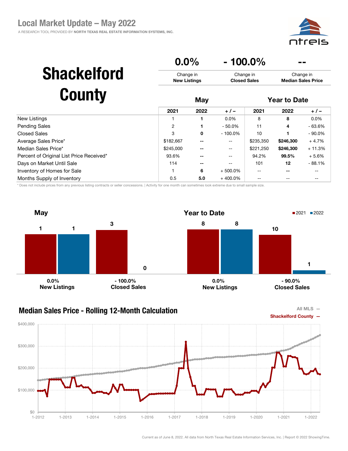![](_page_40_Picture_1.jpeg)

|                                          | 0.0%                             |      |            | $-100.0\%$                       |                                        |          |
|------------------------------------------|----------------------------------|------|------------|----------------------------------|----------------------------------------|----------|
| <b>Shackelford</b>                       | Change in<br><b>New Listings</b> |      |            | Change in<br><b>Closed Sales</b> | Change in<br><b>Median Sales Price</b> |          |
| <b>County</b>                            |                                  | May  |            |                                  | <b>Year to Date</b>                    |          |
|                                          | 2021                             | 2022 | $+/-$      | 2021                             | 2022                                   | $+/-$    |
| New Listings                             |                                  |      | $0.0\%$    | 8                                | 8                                      | $0.0\%$  |
| Pending Sales                            | 2                                |      | $-50.0\%$  | 11                               | 4                                      | - 63.6%  |
| Closed Sales                             | 3                                | 0    | $-100.0%$  | 10                               |                                        | - 90.0%  |
| Average Sales Price*                     | \$182,667                        | --   | $- -$      | \$235,350                        | \$246,300                              | $+4.7%$  |
| Median Sales Price*                      | \$245,000                        |      | --         | \$221,250                        | \$246,300                              | $+11.3%$ |
| Percent of Original List Price Received* | 93.6%                            |      |            | 94.2%                            | 99.5%                                  | $+5.6%$  |
| Days on Market Until Sale                | 114                              |      | --         | 101                              | 12                                     | - 88.1%  |
| <b>Inventory of Homes for Sale</b>       |                                  | 6    | $+500.0\%$ | $-$                              | $- -$                                  | --       |
| Months Supply of Inventory               | 0.5                              | 5.0  | $+400.0\%$ |                                  |                                        |          |

\* Does not include prices from any previous listing contracts or seller concessions. | Activity for one month can sometimes look extreme due to small sample size.

![](_page_40_Figure_4.jpeg)

#### Median Sales Price - Rolling 12-Month Calculation

![](_page_40_Figure_6.jpeg)

![](_page_40_Figure_7.jpeg)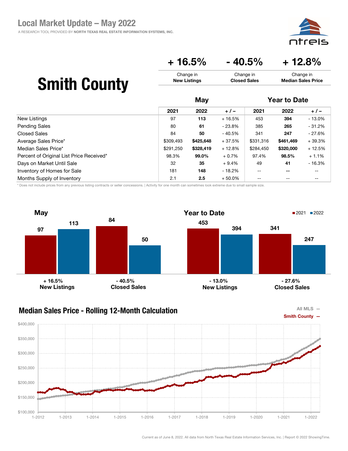![](_page_41_Picture_1.jpeg)

### $+ 16.5\% - 40.5\% + 12.8\%$

Change in Closed Sales

# Smith County

|                                          | May       |           |          | <b>Year to Date</b> |           |          |
|------------------------------------------|-----------|-----------|----------|---------------------|-----------|----------|
|                                          | 2021      | 2022      | $+/-$    | 2021                | 2022      | $+/-$    |
| New Listings                             | 97        | 113       | $+16.5%$ | 453                 | 394       | $-13.0%$ |
| <b>Pending Sales</b>                     | 80        | 61        | - 23.8%  | 385                 | 265       | $-31.2%$ |
| <b>Closed Sales</b>                      | 84        | 50        | $-40.5%$ | 341                 | 247       | $-27.6%$ |
| Average Sales Price*                     | \$309,493 | \$425,648 | $+37.5%$ | \$331,316           | \$461,469 | $+39.3%$ |
| Median Sales Price*                      | \$291,250 | \$328,419 | $+12.8%$ | \$284,450           | \$320,000 | $+12.5%$ |
| Percent of Original List Price Received* | 98.3%     | 99.0%     | $+0.7%$  | 97.4%               | 98.5%     | $+1.1%$  |
| Days on Market Until Sale                | 32        | 35        | $+9.4%$  | 49                  | 41        | $-16.3%$ |
| Inventory of Homes for Sale              | 181       | 148       | - 18.2%  | $- -$               | $- -$     | --       |
| Months Supply of Inventory               | 2.1       | 2.5       | $+50.0%$ | $- -$               | $- -$     | --       |

Change in New Listings

\* Does not include prices from any previous listing contracts or seller concessions. | Activity for one month can sometimes look extreme due to small sample size.

![](_page_41_Figure_6.jpeg)

### Median Sales Price - Rolling 12-Month Calculation

![](_page_41_Figure_8.jpeg)

![](_page_41_Figure_9.jpeg)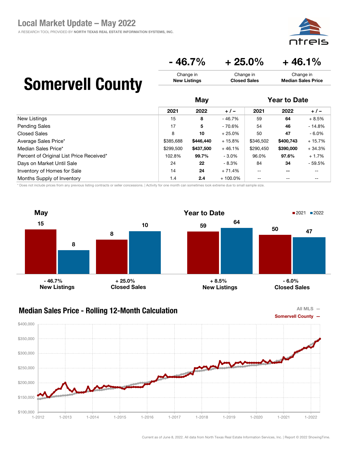aic

Change in Median Sales Price

### $-46.7\% + 25.0\% + 46.1\%$

Change in Closed Sales

## Somervell County

|                                          | May       |           |            |                   | <b>Year to Date</b> |          |  |
|------------------------------------------|-----------|-----------|------------|-------------------|---------------------|----------|--|
|                                          | 2021      | 2022      | $+/-$      | 2021              | 2022                | $+/-$    |  |
| New Listings                             | 15        | 8         | $-46.7%$   | 59                | 64                  | $+8.5%$  |  |
| <b>Pending Sales</b>                     | 17        | 5         | $-70.6%$   | 54                | 46                  | $-14.8%$ |  |
| <b>Closed Sales</b>                      | 8         | 10        | $+25.0%$   | 50                | 47                  | $-6.0\%$ |  |
| Average Sales Price*                     | \$385.688 | \$446,440 | $+15.8%$   | \$346,502         | \$400.743           | $+15.7%$ |  |
| Median Sales Price*                      | \$299,500 | \$437,500 | $+46.1%$   | \$290.450         | \$390,000           | $+34.3%$ |  |
| Percent of Original List Price Received* | 102.8%    | 99.7%     | $-3.0\%$   | 96.0%             | 97.6%               | $+1.7%$  |  |
| Days on Market Until Sale                | 24        | 22        | - 8.3%     | 84                | 34                  | $-59.5%$ |  |
| Inventory of Homes for Sale              | 14        | 24        | $+71.4%$   | $\qquad \qquad -$ | $- -$               | $- -$    |  |
| Months Supply of Inventory               | 1.4       | 2.4       | $+100.0\%$ | $- -$             | $- -$               | --       |  |

Change in New Listings

\* Does not include prices from any previous listing contracts or seller concessions. | Activity for one month can sometimes look extreme due to small sample size.

![](_page_42_Figure_6.jpeg)

![](_page_42_Figure_8.jpeg)

![](_page_42_Figure_9.jpeg)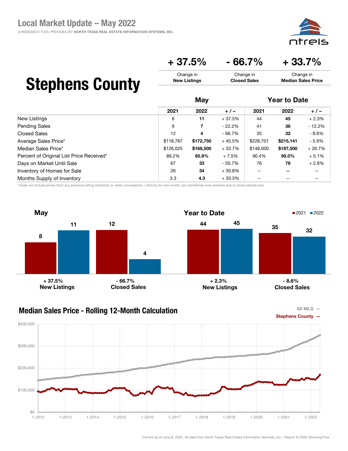![](_page_43_Picture_1.jpeg)

 $+37.5\%$  - 66.7% + 33.7%

Change in Closed Sales

## Stephens County

|                                          | May       |           |          |           | <b>Year to Date</b><br>2022<br>$+/-$ |          |
|------------------------------------------|-----------|-----------|----------|-----------|--------------------------------------|----------|
|                                          | 2021      | 2022      | $+/-$    | 2021      |                                      |          |
| New Listings                             | 8         | 11        | $+37.5%$ | 44        | 45                                   | $+2.3%$  |
| <b>Pending Sales</b>                     | 9         | 7         | $-22.2%$ | 41        | 36                                   | $-12.2%$ |
| <b>Closed Sales</b>                      | 12        | 4         | $-66.7%$ | 35        | 32                                   | - 8.6%   |
| Average Sales Price*                     | \$118,767 | \$172,750 | $+45.5%$ | \$228,701 | \$215,141                            | - 5.9%   |
| Median Sales Price*                      | \$126,025 | \$168,500 | $+33.7%$ | \$148,000 | \$187,500                            | $+26.7%$ |
| Percent of Original List Price Received* | 89.2%     | 95.9%     | $+7.5%$  | 90.4%     | 95.0%                                | $+5.1%$  |
| Days on Market Until Sale                | 67        | 33        | $-50.7%$ | 76        | 78                                   | $+2.6%$  |
| Inventory of Homes for Sale              | 26        | 34        | $+30.8%$ | $-$       | $- -$                                | --       |
| Months Supply of Inventory               | 3.3       | 4.3       | $+33.3%$ | $- -$     | $- -$                                | --       |

Change in New Listings

\* Does not include prices from any previous listing contracts or seller concessions. | Activity for one month can sometimes look extreme due to small sample size.

![](_page_43_Figure_6.jpeg)

### Median Sales Price - Rolling 12-Month Calculation

![](_page_43_Figure_8.jpeg)

![](_page_43_Figure_9.jpeg)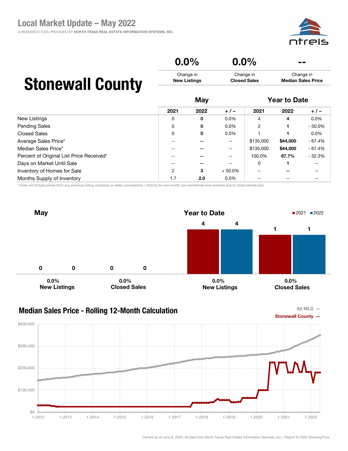#### $0.0\%$   $0.0\%$ Change in New Listings Change in Closed Sales Change in Median Sales Price May Year to Date

## Stonewall County

|                                          | 2021  | 2022 | $+/-$                    | 2021           | 2022     | $+/-$     |  |  |  |
|------------------------------------------|-------|------|--------------------------|----------------|----------|-----------|--|--|--|
| New Listings                             | 0     | 0    | $0.0\%$                  | 4              | 4        | $0.0\%$   |  |  |  |
| <b>Pending Sales</b>                     | 0     | 0    | $0.0\%$                  | $\overline{2}$ |          | $-50.0\%$ |  |  |  |
| <b>Closed Sales</b>                      | 0     | 0    | $0.0\%$                  |                |          | $0.0\%$   |  |  |  |
| Average Sales Price*                     |       |      | $- -$                    | \$135,000      | \$44,000 | $-67.4%$  |  |  |  |
| Median Sales Price*                      | $- -$ |      | $\overline{\phantom{a}}$ | \$135,000      | \$44,000 | $-67.4%$  |  |  |  |
| Percent of Original List Price Received* | --    |      | --                       | 100.0%         | 67.7%    | $-32.3%$  |  |  |  |
| Days on Market Until Sale                | $-$   | --   | $\sim$ $\sim$            | 0              |          | $- -$     |  |  |  |
| Inventory of Homes for Sale              | 2     | 3    | $+50.0%$                 | --             | $- -$    | --        |  |  |  |
| Months Supply of Inventory               | 1.7   | 2.0  | $0.0\%$                  | $- -$          | --       | --        |  |  |  |

\* Does not include prices from any previous listing contracts or seller concessions. | Activity for one month can sometimes look extreme due to small sample size.

![](_page_44_Figure_6.jpeg)

![](_page_44_Figure_8.jpeg)

![](_page_44_Figure_9.jpeg)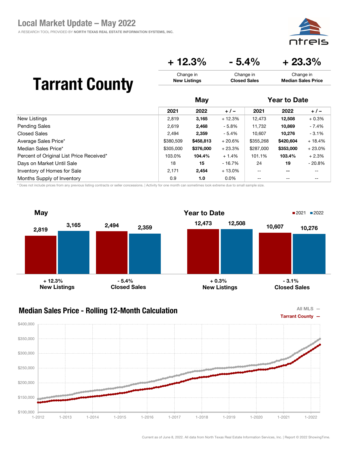![](_page_45_Picture_1.jpeg)

### $+ 12.3\% - 5.4\% + 23.3\%$

Change in Closed Sales

## Tarrant County

|                                          | May       |           |          |                          | <b>Year to Date</b> |          |  |
|------------------------------------------|-----------|-----------|----------|--------------------------|---------------------|----------|--|
|                                          | 2021      | 2022      | $+/-$    | 2021                     | 2022                | $+/-$    |  |
| New Listings                             | 2,819     | 3,165     | $+12.3%$ | 12,473                   | 12,508              | $+0.3%$  |  |
| <b>Pending Sales</b>                     | 2,619     | 2,468     | $-5.8\%$ | 11,732                   | 10,869              | - 7.4%   |  |
| Closed Sales                             | 2.494     | 2,359     | $-5.4%$  | 10.607                   | 10,276              | $-3.1%$  |  |
| Average Sales Price*                     | \$380,509 | \$458,813 | $+20.6%$ | \$355,268                | \$420,604           | $+18.4%$ |  |
| Median Sales Price*                      | \$305,000 | \$376,000 | $+23.3%$ | \$287,000                | \$353,000           | $+23.0%$ |  |
| Percent of Original List Price Received* | 103.0%    | 104.4%    | $+1.4%$  | 101.1%                   | 103.4%              | $+2.3%$  |  |
| Days on Market Until Sale                | 18        | 15        | - 16.7%  | 24                       | 19                  | $-20.8%$ |  |
| Inventory of Homes for Sale              | 2,171     | 2,454     | $+13.0%$ | $\overline{\phantom{m}}$ | $- -$               | --       |  |
| Months Supply of Inventory               | 0.9       | 1.0       | $0.0\%$  | --                       | --                  | --       |  |

Change in New Listings

\* Does not include prices from any previous listing contracts or seller concessions. | Activity for one month can sometimes look extreme due to small sample size.

![](_page_45_Figure_6.jpeg)

#### Median Sales Price - Rolling 12-Month Calculation

![](_page_45_Figure_8.jpeg)

![](_page_45_Figure_9.jpeg)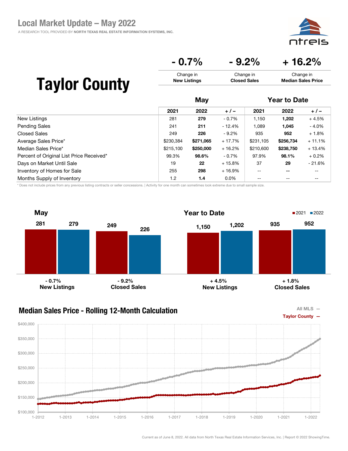⊇i⊂

Median Sales Price

#### $-0.7\%$   $-9.2\%$   $+16.2\%$ Change in Change in Change in

Closed Sales

# Taylor County

|                                          |           |           |          | May       |                          |          | <b>Year to Date</b> |  |  |
|------------------------------------------|-----------|-----------|----------|-----------|--------------------------|----------|---------------------|--|--|
|                                          | 2021      | 2022      | $+/-$    | 2021      | 2022                     | $+/-$    |                     |  |  |
| New Listings                             | 281       | 279       | $-0.7\%$ | 1,150     | 1,202                    | $+4.5%$  |                     |  |  |
| <b>Pending Sales</b>                     | 241       | 211       | - 12.4%  | 1,089     | 1,045                    | $-4.0%$  |                     |  |  |
| <b>Closed Sales</b>                      | 249       | 226       | $-9.2\%$ | 935       | 952                      | $+1.8%$  |                     |  |  |
| Average Sales Price*                     | \$230,384 | \$271,065 | $+17.7%$ | \$231,105 | \$256,734                | $+11.1%$ |                     |  |  |
| Median Sales Price*                      | \$215,100 | \$250,000 | $+16.2%$ | \$210,600 | \$238,750                | $+13.4%$ |                     |  |  |
| Percent of Original List Price Received* | 99.3%     | 98.6%     | $-0.7\%$ | 97.9%     | 98.1%                    | $+0.2%$  |                     |  |  |
| Days on Market Until Sale                | 19        | 22        | $+15.8%$ | 37        | 29                       | $-21.6%$ |                     |  |  |
| Inventory of Homes for Sale              | 255       | 298       | $+16.9%$ | $- -$     | $\overline{\phantom{m}}$ | --       |                     |  |  |
| Months Supply of Inventory               | 1.2       | 1.4       | $0.0\%$  | $- -$     | $\qquad \qquad -$        | --       |                     |  |  |

New Listings

\* Does not include prices from any previous listing contracts or seller concessions. | Activity for one month can sometimes look extreme due to small sample size.

![](_page_46_Figure_6.jpeg)

![](_page_46_Figure_8.jpeg)

![](_page_46_Figure_9.jpeg)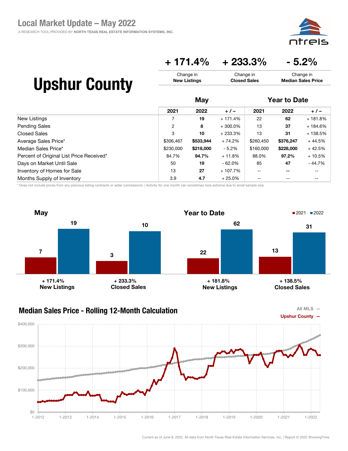![](_page_47_Picture_1.jpeg)

### + 171.4% + 233.3% - 5.2%

| <b>Upshur County</b> | Change in           | Change in           | Change in                 |
|----------------------|---------------------|---------------------|---------------------------|
|                      | <b>New Listings</b> | <b>Closed Sales</b> | <b>Median Sales Price</b> |
|                      | May                 |                     | <b>Year to Date</b>       |

|                                          | 2021           | 2022      | $+/-$      | 2021      | 2022      | $+/-$     |  |  |
|------------------------------------------|----------------|-----------|------------|-----------|-----------|-----------|--|--|
| New Listings                             |                | 19        | $+171.4%$  | 22        | 62        | $+181.8%$ |  |  |
| <b>Pending Sales</b>                     | $\overline{2}$ | 8         | $+300.0\%$ | 13        | 37        | + 184.6%  |  |  |
| Closed Sales                             | 3              | 10        | $+233.3%$  | 13        | 31        | + 138.5%  |  |  |
| Average Sales Price*                     | \$306,467      | \$533,944 | $+74.2%$   | \$260,450 | \$376,247 | $+44.5%$  |  |  |
| Median Sales Price*                      | \$230,000      | \$218,000 | - 5.2%     | \$160,000 | \$228,000 | $+42.5%$  |  |  |
| Percent of Original List Price Received* | 84.7%          | 94.7%     | $+11.8%$   | 88.0%     | 97.2%     | $+10.5%$  |  |  |
| Days on Market Until Sale                | 50             | 19        | $-62.0\%$  | 85        | 47        | - 44.7%   |  |  |
| Inventory of Homes for Sale              | 13             | 27        | $+107.7%$  | $-$       | --        | --        |  |  |
| Months Supply of Inventory               | 3.9            | 4.7       | $+25.0%$   | --        |           |           |  |  |

\* Does not include prices from any previous listing contracts or seller concessions. | Activity for one month can sometimes look extreme due to small sample size.

![](_page_47_Figure_6.jpeg)

![](_page_47_Figure_8.jpeg)

![](_page_47_Figure_9.jpeg)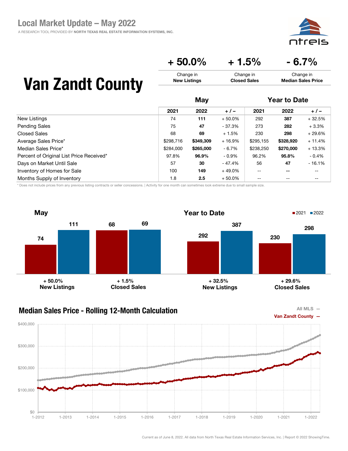A RESEARCH TOOL PROVIDED BY NORTH TEXAS REAL ESTATE INFORMATION SYSTEMS, INC.

![](_page_48_Picture_2.jpeg)

Median Sales Price

 $+ 50.0\% + 1.5\% - 6.7\%$ Change in Change in Change in

Closed Sales

## Van Zandt County

|                                          | May       |           |          |           | <b>Year to Date</b>      |          |  |
|------------------------------------------|-----------|-----------|----------|-----------|--------------------------|----------|--|
|                                          | 2021      | 2022      | $+/-$    | 2021      | 2022                     | $+/-$    |  |
| New Listings                             | 74        | 111       | $+50.0%$ | 292       | 387                      | $+32.5%$ |  |
| <b>Pending Sales</b>                     | 75        | 47        | $-37.3%$ | 273       | 282                      | $+3.3%$  |  |
| <b>Closed Sales</b>                      | 68        | 69        | $+1.5%$  | 230       | 298                      | $+29.6%$ |  |
| Average Sales Price*                     | \$298,716 | \$349,309 | $+16.9%$ | \$295,155 | \$328,920                | $+11.4%$ |  |
| Median Sales Price*                      | \$284,000 | \$265,000 | - 6.7%   | \$238,250 | \$270,000                | $+13.3%$ |  |
| Percent of Original List Price Received* | 97.8%     | 96.9%     | $-0.9\%$ | 96.2%     | 95.8%                    | $-0.4%$  |  |
| Days on Market Until Sale                | 57        | 30        | - 47.4%  | 56        | 47                       | $-16.1%$ |  |
| Inventory of Homes for Sale              | 100       | 149       | $+49.0%$ | $- -$     | $\overline{\phantom{m}}$ | --       |  |
| Months Supply of Inventory               | 1.8       | $2.5\,$   | $+50.0%$ | $- -$     | $\qquad \qquad -$        | --       |  |

New Listings

\* Does not include prices from any previous listing contracts or seller concessions. | Activity for one month can sometimes look extreme due to small sample size.

![](_page_48_Figure_7.jpeg)

![](_page_48_Figure_9.jpeg)

![](_page_48_Figure_10.jpeg)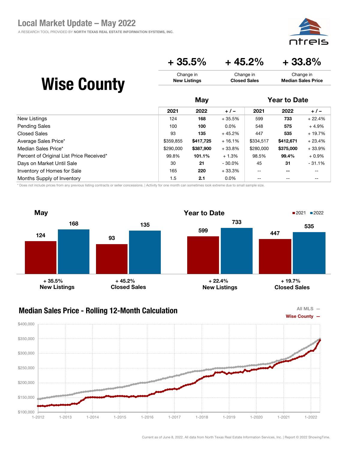![](_page_49_Picture_1.jpeg)

 $+35.5\% + 45.2\% + 33.8\%$ 

Change in Closed Sales

## Wise County

|                                          | May       |           |           | <b>Year to Date</b> |                          |          |
|------------------------------------------|-----------|-----------|-----------|---------------------|--------------------------|----------|
|                                          | 2021      | 2022      | $+/-$     | 2021                | 2022                     | $+/-$    |
| New Listings                             | 124       | 168       | $+35.5%$  | 599                 | 733                      | $+22.4%$ |
| <b>Pending Sales</b>                     | 100       | 100       | $0.0\%$   | 548                 | 575                      | $+4.9%$  |
| <b>Closed Sales</b>                      | 93        | 135       | $+45.2%$  | 447                 | 535                      | $+19.7%$ |
| Average Sales Price*                     | \$359,855 | \$417,725 | $+16.1%$  | \$334,517           | \$412,671                | $+23.4%$ |
| Median Sales Price*                      | \$290,000 | \$387,900 | $+33.8%$  | \$280,000           | \$375,000                | $+33.9%$ |
| Percent of Original List Price Received* | 99.8%     | 101.1%    | $+1.3%$   | 98.5%               | 99.4%                    | $+0.9%$  |
| Days on Market Until Sale                | 30        | 21        | $-30.0\%$ | 45                  | 31                       | $-31.1%$ |
| Inventory of Homes for Sale              | 165       | 220       | $+33.3%$  | $- -$               | $\overline{\phantom{m}}$ | --       |
| Months Supply of Inventory               | 1.5       | 2.1       | $0.0\%$   | $\qquad \qquad -$   | $\qquad \qquad -$        | --       |

Change in New Listings

\* Does not include prices from any previous listing contracts or seller concessions. | Activity for one month can sometimes look extreme due to small sample size.

![](_page_49_Figure_6.jpeg)

### Median Sales Price - Rolling 12-Month Calculation

![](_page_49_Figure_8.jpeg)

![](_page_49_Figure_9.jpeg)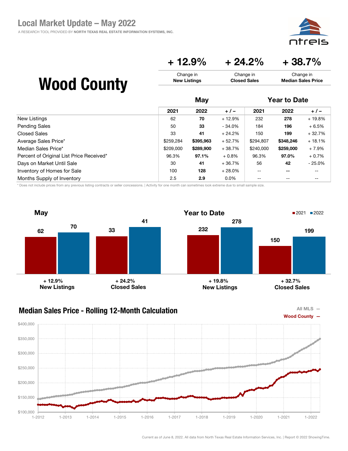![](_page_50_Picture_1.jpeg)

### $+ 12.9\% + 24.2\% + 38.7\%$

Change in Closed Sales

## Wood County

|                                          | May       |           |           |           | <b>Year to Date</b> |           |  |
|------------------------------------------|-----------|-----------|-----------|-----------|---------------------|-----------|--|
|                                          | 2021      | 2022      | $+/-$     | 2021      | 2022                | $+/-$     |  |
| New Listings                             | 62        | 70        | $+12.9%$  | 232       | 278                 | $+19.8%$  |  |
| <b>Pending Sales</b>                     | 50        | 33        | $-34.0%$  | 184       | 196                 | $+6.5%$   |  |
| <b>Closed Sales</b>                      | 33        | 41        | $+24.2%$  | 150       | 199                 | $+32.7%$  |  |
| Average Sales Price*                     | \$259.284 | \$395,963 | $+52.7%$  | \$294,807 | \$348,246           | $+18.1%$  |  |
| Median Sales Price*                      | \$209,000 | \$289,900 | $+38.7%$  | \$240,000 | \$259,000           | $+7.9%$   |  |
| Percent of Original List Price Received* | 96.3%     | 97.1%     | $+0.8\%$  | 96.3%     | 97.0%               | $+0.7%$   |  |
| Days on Market Until Sale                | 30        | 41        | $+36.7%$  | 56        | 42                  | $-25.0\%$ |  |
| Inventory of Homes for Sale              | 100       | 128       | $+28.0\%$ | $-$       | --                  | --        |  |
| Months Supply of Inventory               | 2.5       | 2.9       | $0.0\%$   | --        | --                  | --        |  |

Change in New Listings

\* Does not include prices from any previous listing contracts or seller concessions. | Activity for one month can sometimes look extreme due to small sample size.

![](_page_50_Figure_6.jpeg)

### Median Sales Price - Rolling 12-Month Calculation

![](_page_50_Figure_8.jpeg)

![](_page_50_Figure_9.jpeg)